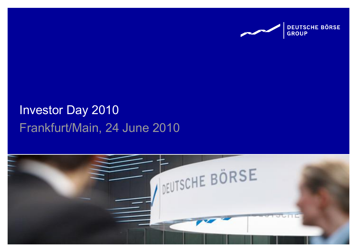

# Frankfurt/Main, 24 June 2010 Investor Day 2010

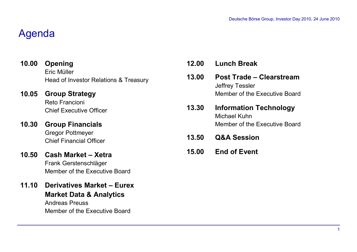### Agenda

- **Opening** Eric Müller Head of Investor Relations & Treasury **10.00**
- **Group Strategy**  Reto Francioni Chief Executive Officer **10.05**
- **Group Financials**  Gregor Pottmeyer Chief Financial Officer **10.30**
- **Cash Market – Xetra 10.50** Frank Gerstenschläger Member of the Executive Board
- **Derivatives Market – Eurex 11.10 Market Data & Analytics**

Andreas Preuss Member of the Executive Board

| 12.00 | <b>Lunch Break</b>                                                                  |
|-------|-------------------------------------------------------------------------------------|
| 13.00 | Post Trade - Clearstream<br><b>Jeffrey Tessler</b><br>Member of the Executive Board |
| 13.30 | <b>Information Technology</b><br>Michael Kuhn<br>Member of the Executive Board      |
| 13.50 | <b>Q&amp;A Session</b>                                                              |
| 15.00 | <b>End of Event</b>                                                                 |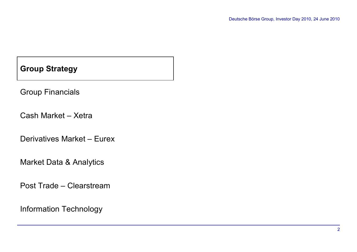Group Financials

Cash Market – Xetra

Derivatives Market – Eurex

Market Data & Analytics

Post Trade – Clearstream

Information Technology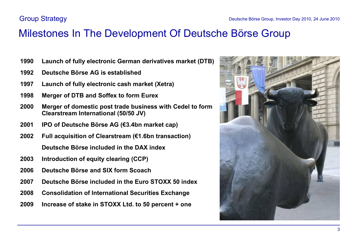### Milestones In The Development Of Deutsche Börse Group

- **Launch of fully electronic German derivatives market (DTB)**
- **Deutsche Börse AG is established**
- **Launch of fully electronic cash market (Xetra)**
- **Merger of DTB and Soffex to form Eurex**
- **Merger of domestic post trade business with Cedel to form Clearstream International (50/50 JV)**
- **IPO of Deutsche Börse AG (€3.4bn market cap)**
- **Full acquisition of Clearstream (€1.6bn transaction) Deutsche Börse included in the DAX index**
- **2003 Introduction of equity clearing (CCP)**
- **Deutsche Börse and SIX form Scoach**
- **Deutsche Börse included in the Euro STOXX 50 index**
- **Consolidation of International Securities Exchange**
- **Increase of stake in STOXX Ltd. to 50 percent + one**

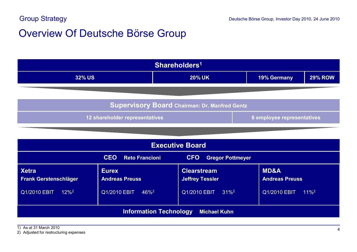### Overview Of Deutsche Börse Group

| Shareholders <sup>1</sup>                                    |             |                |  |  |
|--------------------------------------------------------------|-------------|----------------|--|--|
| <b>32% US</b>                                                | 19% Germany | <b>29% ROW</b> |  |  |
|                                                              |             |                |  |  |
| <b>Supervisory Board Chairman: Dr. Manfred Gentz</b>         |             |                |  |  |
| 12 shareholder representatives<br>6 employee representatives |             |                |  |  |

| <b>Executive Board</b>                                                       |                                       |                                              |                                          |
|------------------------------------------------------------------------------|---------------------------------------|----------------------------------------------|------------------------------------------|
| <b>CEO</b><br><b>CFO</b><br><b>Reto Francioni</b><br><b>Gregor Pottmeyer</b> |                                       |                                              |                                          |
| <b>Xetra</b><br><b>Frank Gerstenschläger</b>                                 | <b>Eurex</b><br><b>Andreas Preuss</b> | <b>Clearstream</b><br><b>Jeffrey Tessler</b> | <b>MD&amp;A</b><br><b>Andreas Preuss</b> |
| Q1/2010 EBIT<br>$12\%^2$                                                     | Q1/2010 EBIT<br>$46\%^2$              | $31\%^2$<br>Q1/2010 EBIT                     | Q1/2010 EBIT<br>$11\%^2$                 |
| <b>Information Technology</b><br><b>Michael Kuhn</b>                         |                                       |                                              |                                          |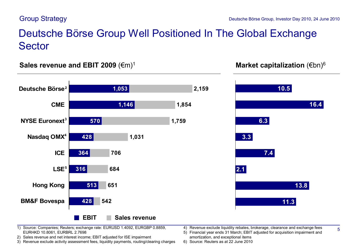### Deutsche Börse Group Well Positioned In The Global Exchange Sector

#### **Market capitalization (€bn)<sup>6</sup> 6 <b>Market Capitalization (€bn) S** 6 **all 12009 CM**





#### 1) Source: Companies; Reuters; exchange rate: EURUSD 1.4092, EURGBP 0.8859, EURHKD 10.8061, EURBRL 2.7698

- 2) Sales revenue and net interest income; EBIT adjusted for ISE impairment
- 3) Revenue exclude activity assessment fees, liquidity payments, routing/clearing charges
- 4) Revenue exclude liquidity rebates, brokerage, clearance and exchange fees
- 5) Financial year ends 31 March; EBIT adjusted for acquisition impairment and amortization, and exceptional items
- 6) Source: Reuters as at 22 June 2010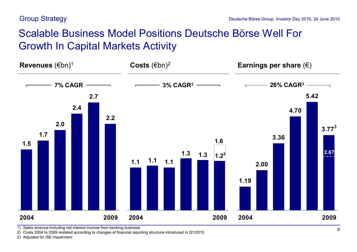## Scalable Business Model Positions Deutsche Börse Well For Growth In Capital Markets Activity



1) Sales revenue including net interest income from banking business

2) Costs 2004 to 2009 restated according to changes of financial reporting structure introduced in Q1/2010

3) Adjusted for ISE impairment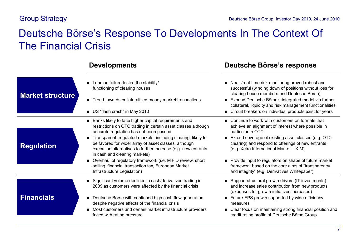### Deutsche Börse's Response To Developments In The Context Of The Financial Crisis

| <b>Market structure</b> | Lehman failure tested the stability/<br>functioning of clearing houses<br>Trend towards collateralized money market transactions<br>US "flash crash" in May 2010                                                                                                                                                                                                                                                                                                                                                                                                       | ■ Near-/real-time risk monitoring proved robust and<br>successful (winding down of positions without loss for<br>clearing house members and Deutsche Börse)<br>Expand Deutsche Börse's integrated model via further<br>collateral, liquidity and risk management functionalities<br>Circuit breakers on individual products exist for years                                                                                                          |
|-------------------------|------------------------------------------------------------------------------------------------------------------------------------------------------------------------------------------------------------------------------------------------------------------------------------------------------------------------------------------------------------------------------------------------------------------------------------------------------------------------------------------------------------------------------------------------------------------------|------------------------------------------------------------------------------------------------------------------------------------------------------------------------------------------------------------------------------------------------------------------------------------------------------------------------------------------------------------------------------------------------------------------------------------------------------|
| <b>Regulation</b>       | ■ Banks likely to face higher capital requirements and<br>restrictions on OTC trading in certain asset classes although<br>concrete regulation has not been passed<br>Transparent, regulated markets, including clearing, likely to<br>$\blacksquare$<br>be favored for wider array of asset classes, although<br>execution alternatives to further increase (e.g. new entrants<br>in cash and clearing markets)<br>• Overhaul of regulatory framework (i.e. MiFID review, short<br>selling, financial transaction tax, European Market<br>Infrastructure Legislation) | ■ Continue to work with customers on formats that<br>achieve an alignment of interest where possible in<br>particular in OTC<br>Extend coverage of existing asset classes (e.g. OTC<br>clearing) and respond to offerings of new entrants<br>(e.g. Xetra International Market - XIM)<br>• Provide input to regulators on shape of future market<br>framework based on the core aims of "transparency<br>and integrity" (e.g. Derivatives Whitepaper) |
| <b>Financials</b>       | Significant volume declines in cash/derivatives trading in<br>2009 as customers were affected by the financial crisis<br>Deutsche Börse with continued high cash flow generation<br>$\blacksquare$<br>despite negative effects of the financial crisis<br>Most customers and certain market infrastructure providers<br>$\blacksquare$<br>faced with rating pressure                                                                                                                                                                                                   | ■ Support structural growth drivers (IT investments)<br>and increase sales contribution from new products<br>(expenses for growth initiatives increased)<br>■ Future EPS growth supported by wide efficiency<br>measures<br>• Clear focus on maintaining strong financial position and<br>credit rating profile of Deutsche Börse Group                                                                                                              |

### **Developments Deutsche Börse's response**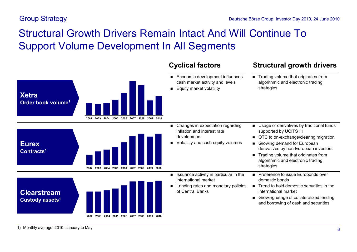# Structural Growth Drivers Remain Intact And Will Continue To Support Volume Development In All Segments



- Economic development influences cash market activity and levels
- **Equity market volatility**

### **Cyclical factors Structural growth drivers**

 $\blacksquare$  Trading volume that originates from algorithmic and electronic trading strategies

- **2002 2003 2004 2005 2006 2007 2008 2009 2010 Eurex Contracts<sup>1</sup>**
- **Clearstream Custody assets<sup>1</sup>**



- Changes in expectation regarding inflation and interest rate development
- Volatility and cash equity volumes

international market

of Central Banks

- Usage of derivatives by traditional funds supported by UCITS III
- OTC to on-exchange/clearing migration
- Growing demand for European derivatives by non-European investors
- $\blacksquare$  Trading volume that originates from algorithmic and electronic trading strategies
- **n** Preference to issue Eurobonds over domestic bonds  $\blacksquare$  Issuance activity in particular in the
- $\blacksquare$  Trend to hold domestic securities in the international market ■ Lending rates and monetary policies
	- Growing usage of collateralized lending and borrowing of cash and securities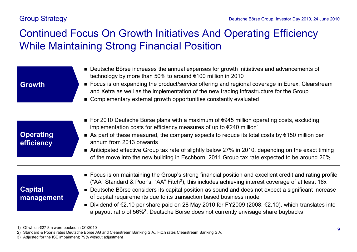# Continued Focus On Growth Initiatives And Operating Efficiency While Maintaining Strong Financial Position

| <b>Growth</b>                  | ■ Deutsche Börse increases the annual expenses for growth initiatives and advancements of<br>technology by more than 50% to around €100 million in 2010<br>■ Focus is on expanding the product/service offering and regional coverage in Eurex, Clearstream<br>and Xetra as well as the implementation of the new trading infrastructure for the Group<br>• Complementary external growth opportunities constantly evaluated                                                                                                                                                                                       |
|--------------------------------|--------------------------------------------------------------------------------------------------------------------------------------------------------------------------------------------------------------------------------------------------------------------------------------------------------------------------------------------------------------------------------------------------------------------------------------------------------------------------------------------------------------------------------------------------------------------------------------------------------------------|
| <b>Operating</b><br>efficiency | ■ For 2010 Deutsche Börse plans with a maximum of $€945$ million operating costs, excluding<br>implementation costs for efficiency measures of up to $\epsilon$ 240 million <sup>1</sup><br>As part of these measured, the company expects to reduce its total costs by $\epsilon$ 150 million per<br>annum from 2013 onwards<br>Anticipated effective Group tax rate of slightly below 27% in 2010, depending on the exact timing<br>of the move into the new building in Eschborn; 2011 Group tax rate expected to be around 26%                                                                                 |
| <b>Capital</b><br>management   | ■ Focus is on maintaining the Group's strong financial position and excellent credit and rating profile<br>("AA" Standard & Poor's, "AA" Fitch <sup>2</sup> ); this includes achieving interest coverage of at least 16x<br>■ Deutsche Börse considers its capital position as sound and does not expect a significant increase<br>of capital requirements due to its transaction based business model<br>■ Dividend of $€2.10$ per share paid on 28 May 2010 for FY2009 (2008: $€2.10$ ), which translates into<br>a payout ratio of 56% <sup>3</sup> ; Deutsche Börse does not currently envisage share buybacks |

<sup>1)</sup> Of which €27.8m were booked in Q1/2010

<sup>2)</sup> Standard & Poor's rates Deutsche Börse AG and Clearstream Banking S.A., Fitch rates Clearstream Banking S.A.

<sup>3)</sup> Adjusted for the ISE impairment; 79% without adjustment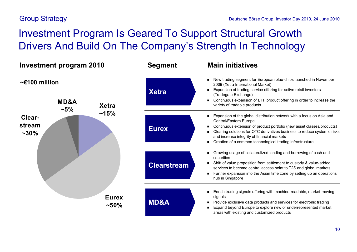# Investment Program Is Geared To Support Structural Growth Drivers And Build On The Company's Strength In Technology

| <b>Investment program 2010</b>                  |                         | <b>Segment</b>     | <b>Main initiatives</b>                                                                                                                                                                                                                                                                                                                                           |  |
|-------------------------------------------------|-------------------------|--------------------|-------------------------------------------------------------------------------------------------------------------------------------------------------------------------------------------------------------------------------------------------------------------------------------------------------------------------------------------------------------------|--|
| $\sim$ £100 million<br><b>MD&amp;A</b><br>$-5%$ | <b>Xetra</b>            | <b>Xetra</b>       | New trading segment for European blue-chips launched in November<br>2009 (Xetra International Market)<br>Expansion of trading service offering for active retail investors<br>(Tradegate Exchange)<br>Continuous expansion of ETF product offering in order to increase the<br>variety of tradable products                                                       |  |
| Clear-<br>stream<br>$~10\%$                     | ~15%                    | <b>Eurex</b>       | Expansion of the global distribution network with a focus on Asia and<br>Central/Eastern Europe<br>Continuous extension of product portfolio (new asset classes/products)<br>Clearing solutions for OTC derivatives business to reduce systemic risks<br>and increase integrity of financial markets<br>Creation of a common technological trading infrastructure |  |
|                                                 |                         | <b>Clearstream</b> | Growing usage of collateralized lending and borrowing of cash and<br>securities<br>Shift of value proposition from settlement to custody & value-added<br>services to become central access point to T2S and global markets<br>Further expansion into the Asian time zone by setting up an operations<br>hub in Singapore                                         |  |
|                                                 | <b>Eurex</b><br>$~10\%$ | <b>MD&amp;A</b>    | Enrich trading signals offering with machine-readable, market-moving<br>signals<br>Provide exclusive data products and services for electronic trading<br>Expand beyond Europe to explore new or underrepresented market<br>areas with existing and customized products                                                                                           |  |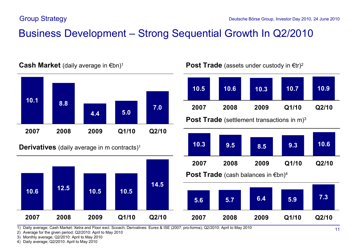## Business Development – Strong Sequential Growth In Q2/2010



**Cash Market** (daily average in €bn)<sup>1</sup>

**Derivatives** (daily average in m contracts)<sup>1</sup>

**10.6 12.5 10.5 10.5**





1) Daily average; Cash Market: Xetra and Floor excl. Scoach; Derivatives: Eurex & ISE (2007: pro-forma); Q2/2010: April to May 2010

2) Average for the given period; Q2/2010: April to May 2010

3) Monthly average; Q2/2010: April to May 2010

4) Daily average; Q2/2010: April to May 2010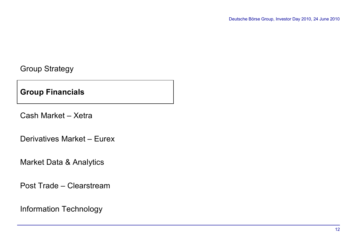**Group Financials**

Cash Market – Xetra

Derivatives Market – Eurex

Market Data & Analytics

Post Trade – Clearstream

Information Technology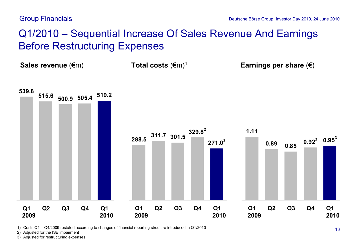## Q1/2010 – Sequential Increase Of Sales Revenue And Earnings Before Restructuring Expenses

**Sales revenue (€m) Sales revenue (€m) Total costs (€m)<sup>1</sup> <b>Earnings per share (€)** 



1) Costs Q1 – Q4/2009 restated according to changes of financial reporting structure introduced in Q1/2010

2) Adjusted for the ISE impairment

3) Adjusted for restructuring expenses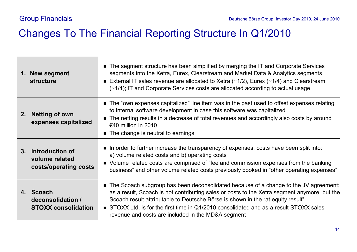### Changes To The Financial Reporting Structure In Q1/2010

|    | 1. New segment<br><b>structure</b>                            | • The segment structure has been simplified by merging the IT and Corporate Services<br>segments into the Xetra, Eurex, Clearstream and Market Data & Analytics segments<br>External IT sales revenue are allocated to Xetra $(\sim 1/2)$ , Eurex $(\sim 1/4)$ and Clearstream<br>(~1/4); IT and Corporate Services costs are allocated according to actual usage                                                         |
|----|---------------------------------------------------------------|---------------------------------------------------------------------------------------------------------------------------------------------------------------------------------------------------------------------------------------------------------------------------------------------------------------------------------------------------------------------------------------------------------------------------|
| 2. | <b>Netting of own</b><br>expenses capitalized                 | • The "own expenses capitalized" line item was in the past used to offset expenses relating<br>to internal software development in case this software was capitalized<br>• The netting results in a decrease of total revenues and accordingly also costs by around<br>€40 million in 2010<br>• The change is neutral to earnings                                                                                         |
|    | 3. Introduction of<br>volume related<br>costs/operating costs | In order to further increase the transparency of expenses, costs have been split into:<br>a) volume related costs and b) operating costs<br>• Volume related costs are comprised of "fee and commission expenses from the banking<br>business" and other volume related costs previously booked in "other operating expenses"                                                                                             |
|    | 4. Scoach<br>deconsolidation /<br><b>STOXX consolidation</b>  | ■ The Scoach subgroup has been deconsolidated because of a change to the JV agreement;<br>as a result, Scoach is not contributing sales or costs to the Xetra segment anymore, but the<br>Scoach result attributable to Deutsche Börse is shown in the "at equity result"<br>■ STOXX Ltd. is for the first time in Q1/2010 consolidated and as a result STOXX sales<br>revenue and costs are included in the MD&A segment |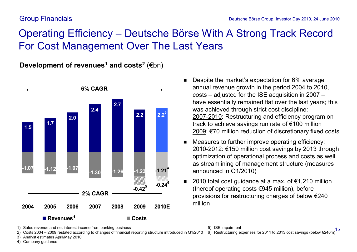# Operating Efficiency – Deutsche Börse With A Strong Track Record For Cost Management Over The Last Years

**Development of revenues<sup>1</sup> and costs<sup>2</sup>** (€bn)



- Despite the market's expectation for 6% average annual revenue growth in the period 2004 to 2010, costs – adjusted for the ISE acquisition in 2007 – have essentially remained flat over the last years; this was achieved through strict cost discipline: 2007-2010: Restructuring and efficiency program on track to achieve savings run rate of €100 million 2009: €70 million reduction of discretionary fixed costs
- Measures to further improve operating efficiency: 2010-2012: €150 million cost savings by 2013 through optimization of operational process and costs as well as streamlining of management structure (measures announced in Q1/2010)
- 2010 total cost guidance at a max. of €1,210 million (thereof operating costs €945 million), before provisions for restructuring charges of below €240 million

1) Sales revenue and net interest income from banking business

2) Costs 2004 – 2009 restated according to changes of financial reporting structure introduced in Q1/2010

3) Analyst estimates April/May 2010

4) Company guidance

5) ISE impairment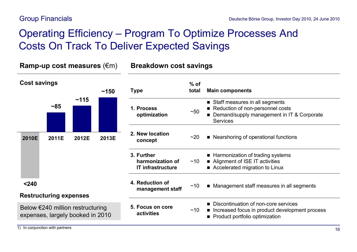# Operating Efficiency – Program To Optimize Processes And Costs On Track To Deliver Expected Savings

**Ramp-up cost measures** (€m) **Breakdown cost savings**

| <b>Cost savings</b>                                                                                             |       |                                | ~150  | <b>Type</b>                                                                                                                | $%$ of<br>total | <b>Main components</b>                                                                                                              |
|-----------------------------------------------------------------------------------------------------------------|-------|--------------------------------|-------|----------------------------------------------------------------------------------------------------------------------------|-----------------|-------------------------------------------------------------------------------------------------------------------------------------|
|                                                                                                                 | ~185  | ~115                           |       | 1. Process<br>optimization                                                                                                 | ~50             | Staff measures in all segments<br>Reduction of non-personnel costs<br>Demand/supply management in IT & Corporate<br><b>Services</b> |
| 2010E                                                                                                           | 2011E | 2012E                          | 2013E | 2. New location<br>concept                                                                                                 | ~20             | ■ Nearshoring of operational functions                                                                                              |
|                                                                                                                 |       |                                |       | 3. Further<br>harmonization of<br><b>IT infrastructure</b>                                                                 | ~10             | ■ Harmonization of trading systems<br>■ Alignment of ISE IT activities<br>■ Accelerated migration to Linux                          |
| < 240                                                                                                           |       |                                |       | 4. Reduction of<br>management staff                                                                                        | ~10             | ■ Management staff measures in all segments                                                                                         |
| <b>Restructuring expenses</b><br>Below $\epsilon$ 240 million restructuring<br>expenses, largely booked in 2010 |       | 5. Focus on core<br>activities | ~10   | ■ Discontinuation of non-core services<br>Increased focus in product development process<br>Product portfolio optimization |                 |                                                                                                                                     |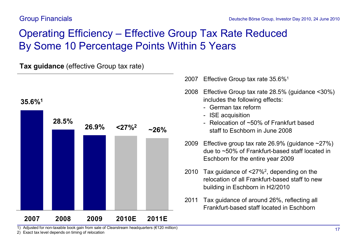# Operating Efficiency – Effective Group Tax Rate Reduced By Some 10 Percentage Points Within 5 Years

**Tax guidance** (effective Group tax rate)



1) Adjusted for non-taxable book gain from sale of Clearstream headquarters (€120 million)

2) Exact tax level depends on timing of relocation

- 2007 Effective Group tax rate 35.6%<sup>1</sup>
- 2008 Effective Group tax rate 28.5% (guidance <30%) includes the following effects:
	- German tax reform
	- ISE acquisition
	- Relocation of ~50% of Frankfurt based staff to Eschborn in June 2008
- 2009 Effective group tax rate 26.9% (guidance ~27%) due to ~50% of Frankfurt-based staff located in Eschborn for the entire year 2009
- 2010 Tax guidance of <27%<sup>2</sup> , depending on the relocation of all Frankfurt-based staff to new building in Eschborn in H2/2010
- 2011 Tax guidance of around 26%, reflecting all Frankfurt-based staff located in Eschborn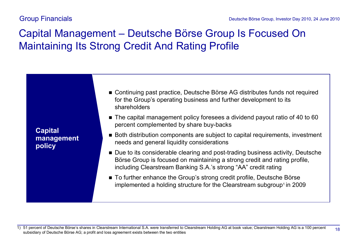# Capital Management – Deutsche Börse Group Is Focused On Maintaining Its Strong Credit And Rating Profile

**Capital management policy**

- n Continuing past practice, Deutsche Börse AG distributes funds not required for the Group's operating business and further development to its shareholders
- n The capital management policy foresees a dividend payout ratio of 40 to 60 percent complemented by share buy-backs
- n Both distribution components are subject to capital requirements, investment needs and general liquidity considerations
- Due to its considerable clearing and post-trading business activity, Deutsche Börse Group is focused on maintaining a strong credit and rating profile, including Clearstream Banking S.A.'s strong "AA" credit rating
- n To further enhance the Group's strong credit profile, Deutsche Börse implemented a holding structure for the Clearstream subgroup<sup>1</sup> in 2009

18 1) 51 percent of Deutsche Börse's shares in Clearstream International S.A. were transferred to Clearstream Holding AG at book value; Clearstream Holding AG is a 100 percent subsidiary of Deutsche Börse AG; a profit and loss agreement exists between the two entities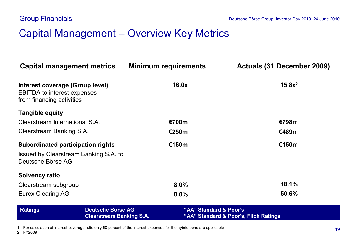### Capital Management – Overview Key Metrics

| Capital management metrics                                                                                      |                                                             | <b>Minimum requirements</b> | Actuals (31 December 2009)            |
|-----------------------------------------------------------------------------------------------------------------|-------------------------------------------------------------|-----------------------------|---------------------------------------|
| Interest coverage (Group level)<br><b>EBITDA to interest expenses</b><br>from financing activities <sup>1</sup> |                                                             | 16.0x                       | $15.8x^2$                             |
| <b>Tangible equity</b>                                                                                          |                                                             |                             |                                       |
| Clearstream International S.A.                                                                                  |                                                             | €700m                       | €798m                                 |
| Clearstream Banking S.A.                                                                                        |                                                             | <b>€250m</b>                | €489m                                 |
| <b>Subordinated participation rights</b>                                                                        |                                                             | €150m                       | €150m                                 |
| Issued by Clearstream Banking S.A. to<br>Deutsche Börse AG                                                      |                                                             |                             |                                       |
| <b>Solvency ratio</b>                                                                                           |                                                             |                             |                                       |
| Clearstream subgroup                                                                                            |                                                             | 8.0%                        | 18.1%                                 |
| <b>Eurex Clearing AG</b>                                                                                        |                                                             | 8.0%                        | 50.6%                                 |
| <b>Ratings</b>                                                                                                  | <b>Deutsche Börse AG</b><br><b>Clearstream Banking S.A.</b> | "AA" Standard & Poor's      | "AA" Standard & Poor's, Fitch Ratings |

1) For calculation of interest coverage ratio only 50 percent of the interest expenses for the hybrid bond are applicable

2) FY2009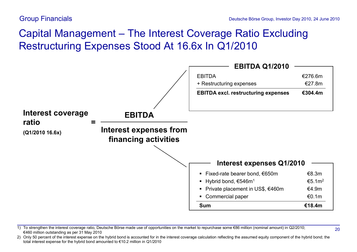# Capital Management – The Interest Coverage Ratio Excluding Restructuring Expenses Stood At 16.6x In Q1/2010



1) To strengthen the interest coverage ratio, Deutsche Börse made use of opportunities on the market to repurchase some €86 million (nominal amount) in Q2/2010; €460 million outstanding as per 31 May 2010

<sup>2)</sup> Only 50 percent of the interest expense on the hybrid bond is accounted for in the interest coverage calculation reflecting the assumed equity component of the hybrid bond; the total interest expense for the hybrid bond amounted to €10.2 million in Q1/2010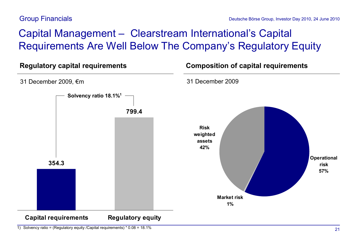### Group Financials

# Capital Management – Clearstream International's Capital Requirements Are Well Below The Company's Regulatory Equity



<sup>1)</sup> Solvency ratio = (Regulatory equity /Capital requirements) \* 0.08 = 18.1%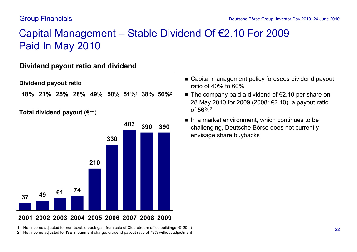#### Group Financials

# Capital Management – Stable Dividend Of €2.10 For 2009 Paid In May 2010

### **Dividend payout ratio and dividend**

**Dividend payout ratio**

**51%<sup>1</sup> 38% 56%<sup>2</sup> 18% 21% 25% 28% 49% 50%**

#### **Total dividend payout** (€m)



- Capital management policy foresees dividend payout ratio of 40% to 60%
- The company paid a dividend of  $€2.10$  per share on 28 May 2010 for 2009 (2008: €2.10), a payout ratio of 56%<sup>2</sup>
- $\blacksquare$  In a market environment, which continues to be challenging, Deutsche Börse does not currently envisage share buybacks

1) Net income adjusted for non-taxable book gain from sale of Clearstream office buildings (€120m)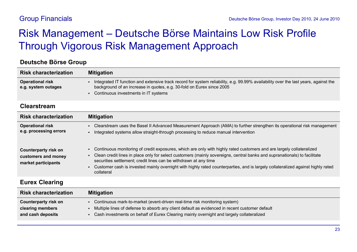# Risk Management – Deutsche Börse Maintains Low Risk Profile Through Vigorous Risk Management Approach

#### **Deutsche Börse Group**

| <b>Risk characterization</b>                   | <b>Mitigation</b>                                                                                                                                                                                                                                    |
|------------------------------------------------|------------------------------------------------------------------------------------------------------------------------------------------------------------------------------------------------------------------------------------------------------|
| <b>Operational risk</b><br>e.g. system outages | Integrated IT function and extensive track record for system reliability, e.g. 99.99% availability over the last years, against the<br>background of an increase in quotes, e.g. 30-fold on Eurex since 2005<br>Continuous investments in IT systems |

#### **Clearstream**

**Counterparty risk on** 

| <b>Risk characterization</b>                                              | <b>Mitigation</b>                                                                                                                                                                                                                                                                                                                                                                                                                                                      |
|---------------------------------------------------------------------------|------------------------------------------------------------------------------------------------------------------------------------------------------------------------------------------------------------------------------------------------------------------------------------------------------------------------------------------------------------------------------------------------------------------------------------------------------------------------|
| <b>Operational risk</b><br>e.g. processing errors                         | Clearstream uses the Basel II Advanced Measurement Approach (AMA) to further strengthen its operational risk management<br>Integrated systems allow straight-through processing to reduce manual intervention                                                                                                                                                                                                                                                          |
| <b>Counterparty risk on</b><br>customers and money<br>market participants | Continuous monitoring of credit exposures, which are only with highly rated customers and are largely collateralized<br>Clean credit lines in place only for select customers (mainly sovereigns, central banks and supranationals) to facilitate<br>securities settlement; credit lines can be withdrawn at any time<br>Customer cash is invested mainly overnight with highly rated counterparties, and is largely collateralized against highly rated<br>collateral |
| <b>Eurex Clearing</b>                                                     |                                                                                                                                                                                                                                                                                                                                                                                                                                                                        |
| <b>Risk characterization</b>                                              | <b>Mitigation</b>                                                                                                                                                                                                                                                                                                                                                                                                                                                      |

- ß Multiple lines of defense to absorb any client default as evidenced in recent customer default **clearing members and cash deposits**
	- ß Cash investments on behalf of Eurex Clearing mainly overnight and largely collateralized

• Continuous mark-to-market (event-driven real-time risk monitoring system)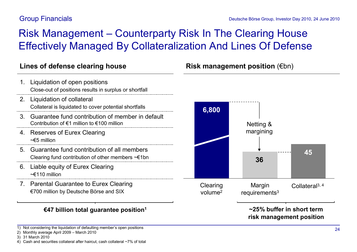### Group Financials

# Risk Management – Counterparty Risk In The Clearing House Effectively Managed By Collateralization And Lines Of Defense

- 2. Liquidation of collateral 1. Liquidation of open positions Close-out of positions results in surplus or shortfall
	- Collateral is liquidated to cover potential shortfalls
- 3. Guarantee fund contribution of member in default Contribution of €1 million to €100 million
- 4. Reserves of Eurex Clearing ~€5 million
- 5. Guarantee fund contribution of all members Clearing fund contribution of other members ~€1bn
- 6. Liable equity of Eurex Clearing  $~\leq$  110 million
- 7. Parental Guarantee to Eurex Clearing €700 million by Deutsche Börse and SIX

#### **€47 billion total guarantee position<sup>1</sup>**

1) Not considering the liquidation of defaulting member's open positions

- 2) Monthly average April 2009 March 2010
- 3) 31 March 2010

### **Lines of defense clearing house Risk management position** (€bn)



**~25% buffer in short term risk management position**

<sup>4)</sup> Cash and securities collateral after haircut, cash collateral ~7% of total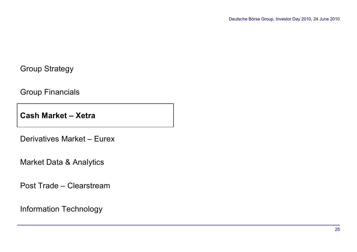Group Financials

**Cash Market – Xetra**

Derivatives Market – Eurex

Market Data & Analytics

Post Trade – Clearstream

Information Technology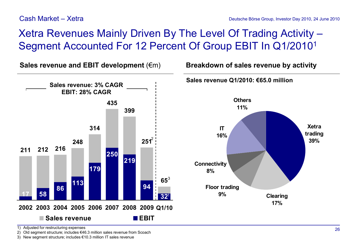# Xetra Revenues Mainly Driven By The Level Of Trading Activity – Segment Accounted For 12 Percent Of Group EBIT In Q1/2010<sup>1</sup>

**211 212 216 248 314 435 399**  $251^2$ **65** 3 **17 58 86 113 179 219 94 32** 1**250 2002 2003 2004 2005 2006 2007 2008 2009 Q1/10 Sales revenue EBIT Sales revenue: 3% CAGR EBIT: 28% CAGR**

**Xetra trading 39% Clearing 17% Floor trading 9% IT 16% Others 11% Connectivity 8% Sales revenue Q1/2010: €65.0 million Sales revenue and EBIT development** (€m) **Breakdown of sales revenue by activity**

1) Adjusted for restructuring expenses

2) Old segment structure; includes €46.3 million sales revenue from Scoach

3) New segment structure; includes €10.3 million IT sales revenue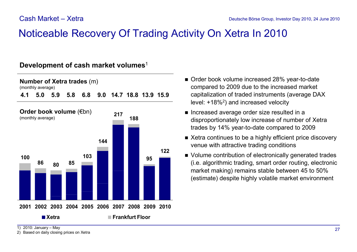### Noticeable Recovery Of Trading Activity On Xetra In 2010

#### **Development of cash market volumes**<sup>1</sup>





- Order book volume increased 28% year-to-date compared to 2009 due to the increased market capitalization of traded instruments (average DAX level: +18%<sup>2</sup>) and increased velocity
- Increased average order size resulted in a disproportionately low increase of number of Xetra trades by 14% year-to-date compared to 2009
- Xetra continues to be a highly efficient price discovery venue with attractive trading conditions
- Volume contribution of electronically generated trades (i.e. algorithmic trading, smart order routing, electronic market making) remains stable between 45 to 50% (estimate) despite highly volatile market environment

1) 2010: January – May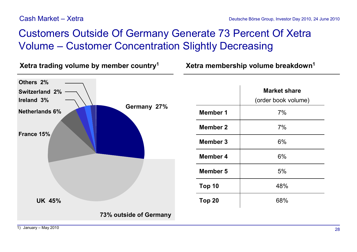#### Cash Market – Xetra

# Customers Outside Of Germany Generate 73 Percent Of Xetra Volume – Customer Concentration Slightly Decreasing

**Xetra** trading volume by member country<sup>1</sup> **1 Xetra** membership volume breakdown<sup>1</sup>

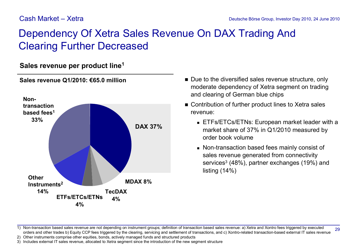### Cash Market – Xetra

## Dependency Of Xetra Sales Revenue On DAX Trading And Clearing Further Decreased

### **Sales revenue per product line<sup>1</sup>**



#### **Sales revenue Q1/2010: €65.0 million**

- Due to the diversified sales revenue structure, only moderate dependency of Xetra segment on trading and clearing of German blue chips
- Contribution of further product lines to Xetra sales revenue:
	- **ETFS/ETCS/ETNS: European market leader with a** market share of 37% in Q1/2010 measured by order book volume
	- Non-transaction based fees mainly consist of sales revenue generated from connectivity services<sup>3</sup> (48%), partner exchanges (19%) and listing (14%)

29 1) Non-transaction based sales revenue are not depending on instrument groups; definition of transaction based sales revenue: a) Xetra and Xontro fees triggered by executed orders and other trades b) Equity CCP fees triggered by the clearing, servicing and settlement of transactions, and c) Xontro-related transaction-based external IT sales revenue

2) Other instruments comprise other equities, bonds, actively managed funds and structured products

3) Includes external IT sales revenue, allocated to Xetra segment since the introduction of the new segment structure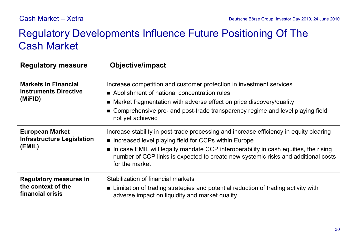## Regulatory Developments Influence Future Positioning Of The Cash Market

| <b>Regulatory measure</b>                                               | <b>Objective/impact</b>                                                                                                                                                                                                                                                                                                                          |
|-------------------------------------------------------------------------|--------------------------------------------------------------------------------------------------------------------------------------------------------------------------------------------------------------------------------------------------------------------------------------------------------------------------------------------------|
| <b>Markets in Financial</b><br><b>Instruments Directive</b><br>(MiFID)  | Increase competition and customer protection in investment services<br>Abolishment of national concentration rules<br>■ Market fragmentation with adverse effect on price discovery/quality<br>■ Comprehensive pre- and post-trade transparency regime and level playing field<br>not yet achieved                                               |
| <b>European Market</b><br><b>Infrastructure Legislation</b><br>(EMIL)   | Increase stability in post-trade processing and increase efficiency in equity clearing<br>■ Increased level playing field for CCPs within Europe<br>• In case EMIL will legally mandate CCP interoperability in cash equities, the rising<br>number of CCP links is expected to create new systemic risks and additional costs<br>for the market |
| <b>Regulatory measures in</b><br>the context of the<br>financial crisis | Stabilization of financial markets<br>■ Limitation of trading strategies and potential reduction of trading activity with<br>adverse impact on liquidity and market quality                                                                                                                                                                      |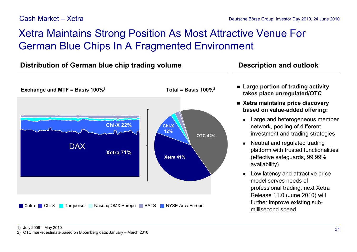#### Cash Market – Xetra

# Xetra Maintains Strong Position As Most Attractive Venue For German Blue Chips In A Fragmented Environment

### **Distribution of German blue chip trading volume <b>Description** and outlook



- n **Large portion of trading activity takes place unregulated/OTC**
- n **Xetra maintains price discovery based on value-added offering:**
	- **Example 2 Large and heterogeneous member** network, pooling of different investment and trading strategies
	- Neutral and regulated trading platform with trusted functionalities (effective safeguards, 99.99% availability)
	- $\blacksquare$  Low latency and attractive price model serves needs of professional trading; next Xetra Release 11.0 (June 2010) will further improve existing submillisecond speed

<sup>2)</sup> OTC market estimate based on Bloomberg data; January – March 2010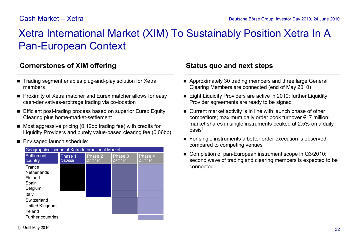#### Cash Market – Xetra

## Xetra International Market (XIM) To Sustainably Position Xetra In A Pan-European Context

### **Cornerstones of XIM offering The Status quo and next steps**

- Trading segment enables plug-and-play solution for Xetra members
- Proximity of Xetra matcher and Eurex matcher allows for easy cash-derivatives-arbitrage trading via co-location
- Efficient post-trading process based on superior Eurex Equity Clearing plus home-market-settlement
- $\blacksquare$  Most aggressive pricing (0.12bp trading fee) with credits for Liquidity Providers and purely value-based clearing fee (0.06bp)
- Envisaged launch schedule:



- Approximately 30 trading members and three large General Clearing Members are connected (end of May 2010)
- Eight Liquidity Providers are active in 2010; further Liquidity Provider agreements are ready to be signed
- $\blacksquare$  Current market activity is in line with launch phase of other competitors; maximum daily order book turnover €17 million; market shares in single instruments peaked at 2.5% on a daily  $hasis<sup>1</sup>$
- For single instruments a better order execution is observed compared to competing venues
- Completion of pan-European instrument scope in Q3/2010; second wave of trading and clearing members is expected to be connected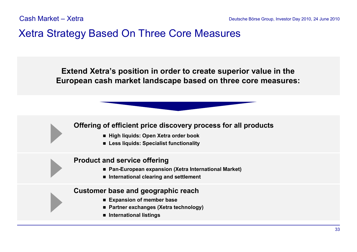### Xetra Strategy Based On Three Core Measures

**Extend Xetra's position in order to create superior value in the European cash market landscape based on three core measures:**

#### **Offering of efficient price discovery process for all products**

- n **High liquids: Open Xetra order book**
- n **Less liquids: Specialist functionality**

#### **Product and service offering**

- Pan-European expansion (Xetra International Market)
- International clearing and settlement

#### **Customer base and geographic reach**

- n **Expansion of member base**
- Partner **exchanges** (Xetra **technology**)
- n **International listings**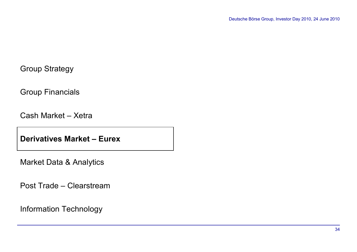Group Financials

Cash Market – Xetra

**Derivatives Market – Eurex**

Market Data & Analytics

Post Trade – Clearstream

Information Technology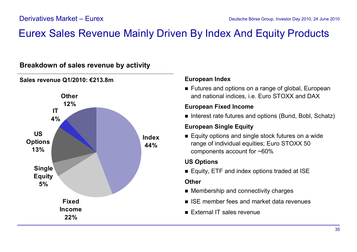### Eurex Sales Revenue Mainly Driven By Index And Equity Products



### **Breakdown of sales revenue by activity**

#### **European Index**

■ Futures and options on a range of global, European and national indices, i.e. Euro STOXX and DAX

#### **European Fixed Income**

■ Interest rate futures and options (Bund, Bobl, Schatz)

#### **European Single Equity**

 $\blacksquare$  Equity options and single stock futures on a wide range of individual equities; Euro STOXX 50 components account for ~60%

#### **US Options**

■ Equity, ETF and index options traded at ISE

#### **Other**

- $\blacksquare$  Membership and connectivity charges
- $\blacksquare$  ISE member fees and market data revenues
- External IT sales revenue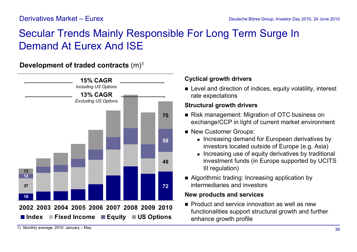### Derivatives Market – Eurex

# Secular Trends Mainly Responsible For Long Term Surge In Demand At Eurex And ISE

**Development of traded contracts** (m)<sup>1</sup>



### **Cyclical growth drivers**

■ Level and direction of indices, equity volatility, interest rate expectations

### **Structural growth drivers**

- Risk management: Migration of OTC business on exchange/CCP in light of current market environment
- New Customer Groups:
	- **n** Increasing demand for European derivatives by investors located outside of Europe (e.g. Asia)
	- **n** Increasing use of equity derivatives by traditional investment funds (in Europe supported by UCITS III regulation)
- Algorithmic trading: Increasing application by intermediaries and investors

### **New products and services**

 $\blacksquare$  Product and service innovation as well as new functionalities support structural growth and further enhance growth profile

<sup>1)</sup> Monthly average; 2010: January – May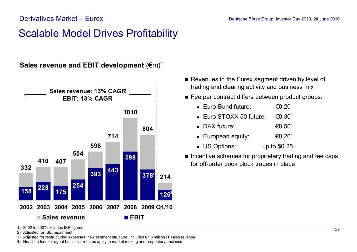## Scalable Model Drives Profitability

**Sales revenue and EBIT development** (€m)<sup>1</sup>



- Revenues in the Eurex segment driven by level of trading and clearing activity and business mix
- Fee per contract differs between product groups:
	- Euro-Bund future:  $\epsilon$ 0.20<sup>4</sup>
	- Euro STOXX 50 future:  $\epsilon$ 0.30<sup>4</sup>
	- $\bullet$  DAX future:  $\epsilon$ 0.50<sup>4</sup>
	- European equity:  $€0.20<sup>4</sup>$
	- **No US Options:** up to \$0.25
- Incentive schemes for proprietary trading and fee caps for off-order book block trades in place

1) 2002 to 2007 excludes ISE figures

2) Adjusted for ISE impairment

3) Adjusted for restructuring expenses; new segment structure; includes €7.5 million IT sales revenue

4) Headline fees for agent business; rebates apply to market making and proprietary business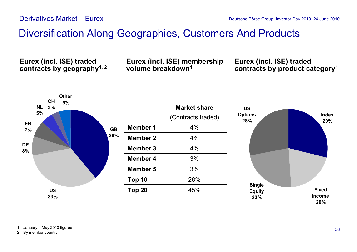## Diversification Along Geographies, Customers And Products

**Eurex (incl. ISE) traded contracts by geography1, 2** **Eurex (incl. ISE) membership volume breakdown<sup>1</sup>**

**Eurex (incl. ISE) traded contracts by product category<sup>1</sup>**

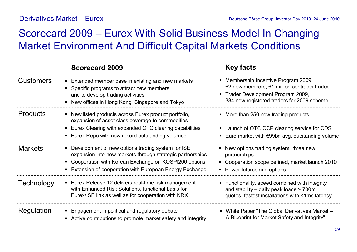### Derivatives Market – Eurex

# Scorecard 2009 – Eurex With Solid Business Model In Changing Market Environment And Difficult Capital Markets Conditions

|                  | <b>Scorecard 2009</b>                                                                                                                                                                                                                 | <b>Key facts</b>                                                                                                                                                      |
|------------------|---------------------------------------------------------------------------------------------------------------------------------------------------------------------------------------------------------------------------------------|-----------------------------------------------------------------------------------------------------------------------------------------------------------------------|
| <b>Customers</b> | • Extended member base in existing and new markets<br>• Specific programs to attract new members<br>and to develop trading activities<br>• New offices in Hong Kong, Singapore and Tokyo                                              | Membership Incentive Program 2009,<br>62 new members, 61 million contracts traded<br>• Trader Development Program 2009,<br>384 new registered traders for 2009 scheme |
| <b>Products</b>  | • New listed products across Eurex product portfolio,<br>expansion of asset class coverage to commodities<br>• Eurex Clearing with expanded OTC clearing capabilities<br>Eurex Repo with new record outstanding volumes               | • More than 250 new trading products<br>• Launch of OTC CCP clearing service for CDS<br>Euro market with $\epsilon$ 99bn avg. outstanding volume                      |
| <b>Markets</b>   | • Development of new options trading system for ISE;<br>expansion into new markets through strategic partnerships<br>• Cooperation with Korean Exchange on KOSPI200 options<br>Extension of cooperation with European Energy Exchange | • New options trading system; three new<br>partnerships<br>Cooperation scope defined, market launch 2010<br>• Power futures and options                               |
| Technology       | ■ Eurex Release 12 delivers real-time risk management<br>with Enhanced Risk Solutions, functional basis for<br>Eurex/ISE link as well as for cooperation with KRX                                                                     | • Functionality, speed combined with integrity<br>and stability $-$ daily peak loads $> 700$ m<br>quotes, fastest installations with <1ms latency                     |
| Regulation       | • Engagement in political and regulatory debate<br>• Active contributions to promote market safety and integrity                                                                                                                      | White Paper "The Global Derivatives Market -<br>A Blueprint for Market Safety and Integrity"                                                                          |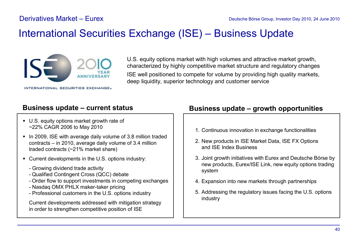## International Securities Exchange (ISE) – Business Update



U.S. equity options market with high volumes and attractive market growth, characterized by highly competitive market structure and regulatory changes ISE well positioned to compete for volume by providing high quality markets, deep liquidity, superior technology and customer service

- U.S. equity options market growth rate of ~22% CAGR 2006 to May 2010
- In 2009, ISE with average daily volume of 3.8 million traded contracts – in 2010, average daily volume of 3.4 million traded contracts (~21% market share)
- Current developments in the U.S. options industry:
	- Growing dividend trade activity
	- Qualified Contingent Cross (QCC) debate
	- Order flow to support investments in competing exchanges
	- Nasdaq OMX PHLX maker-taker pricing
	- Professional customers in the U.S. options industry

Current developments addressed with mitigation strategy in order to strengthen competitive position of ISE

### **Business update – current status Business update – growth opportunities**

- 1. Continuous innovation in exchange functionalities
- 2. New products in ISE Market Data, ISE FX Options and ISE Index Business
- 3. Joint growth initiatives with Eurex and Deutsche Börse by new products, Eurex/ISE Link, new equity options trading system
- 4. Expansion into new markets through partnerships
- 5. Addressing the regulatory issues facing the U.S. options industry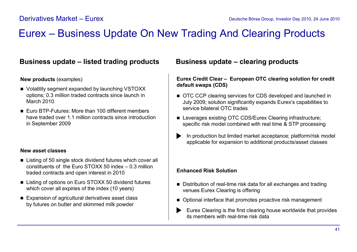## Eurex – Business Update On New Trading And Clearing Products

### **Business update – listed trading products**

### **New products** (examples)

- Volatility segment expanded by launching VSTOXX options; 0.3 million traded contracts since launch in March 2010
- Euro BTP-Futures: More than 100 different members have traded over 1.1 million contracts since introduction in September 2009

### **New asset classes**

- Listing of 50 single stock dividend futures which cover all constituents of the Euro STOXX 50 index – 0.3 million traded contracts and open interest in 2010
- Listing of options on Euro STOXX 50 dividend futures which cover all expiries of the index (10 years)
- Expansion of agricultural derivatives asset class by futures on butter and skimmed milk powder

### **Business update – clearing products**

**Eurex Credit Clear – European OTC clearing solution for credit default swaps (CDS)**

- OTC CCP clearing services for CDS developed and launched in July 2009; solution significantly expands Eurex's capabilities to service bilateral OTC trades
- Leverages existing OTC CDS/Eurex Clearing infrastructure; specific risk model combined with real time & STP processing
- In production but limited market acceptance; platform/risk model applicable for expansion to additional products/asset classes

### **Enhanced Risk Solution**

- Distribution of real-time risk data for all exchanges and trading venues Eurex Clearing is offering
- Optional interface that promotes proactive risk management
- Eurex Clearing is the first clearing house worldwide that provides  $\blacktriangleright$ its members with real-time risk data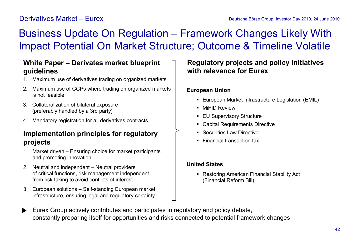### Derivatives Market – Eurex

# Business Update On Regulation – Framework Changes Likely With Impact Potential On Market Structure; Outcome & Timeline Volatile

### **White Paper – Derivates market blueprint guidelines**

- 1. Maximum use of derivatives trading on organized markets
- 2. Maximum use of CCPs where trading on organized markets is not feasible
- 3. Collateralization of bilateral exposure (preferably handled by a 3rd party)
- 4. Mandatory registration for all derivatives contracts

### **Implementation principles for regulatory projects**

- 1. Market driven Ensuring choice for market participants and promoting innovation
- 2. Neutral and independent Neutral providers of critical functions, risk management independent from risk taking to avoid conflicts of interest
- 3. European solutions Self-standing European market infrastructure, ensuring legal and regulatory certainty

### **Regulatory projects and policy initiatives with relevance for Eurex**

### **European Union**

- **European Market Infrastructure Legislation (EMIL)**
- **NiFID Review**
- **EU Supervisory Structure**
- Capital Requirements Directive
- **Securities Law Directive**
- Financial transaction tax

### **United States**

■ Restoring American Financial Stability Act (Financial Reform Bill)

Eurex Group actively contributes and participates in regulatory and policy debate,  $\blacktriangleright$ constantly preparing itself for opportunities and risks connected to potential framework changes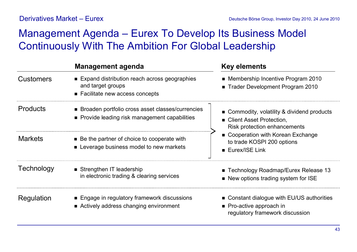## Management Agenda – Eurex To Develop Its Business Model Continuously With The Ambition For Global Leadership

|                  | <b>Management agenda</b>                                                                                | <b>Key elements</b>                                                                                       |
|------------------|---------------------------------------------------------------------------------------------------------|-----------------------------------------------------------------------------------------------------------|
| <b>Customers</b> | ■ Expand distribution reach across geographies<br>and target groups<br>■ Facilitate new access concepts | • Membership Incentive Program 2010<br>■ Trader Development Program 2010                                  |
| <b>Products</b>  | ■ Broaden portfolio cross asset classes/currencies<br>• Provide leading risk management capabilities    | ■ Commodity, volatility & dividend products<br>■ Client Asset Protection,<br>Risk protection enhancements |
| <b>Markets</b>   | ■ Be the partner of choice to cooperate with<br>• Leverage business model to new markets                | • Cooperation with Korean Exchange<br>to trade KOSPI 200 options<br>■ Eurex/ISE Link                      |
| Technology       | Strengthen IT leadership<br>in electronic trading & clearing services                                   | ■ Technology Roadmap/Eurex Release 13<br>New options trading system for ISE                               |
| Regulation       | ■ Engage in regulatory framework discussions<br>■ Actively address changing environment                 | • Constant dialogue with EU/US authorities<br>• Pro-active approach in<br>regulatory framework discussion |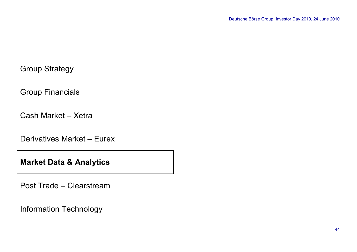### Group Strategy

Group Financials

Cash Market – Xetra

Derivatives Market – Eurex

**Market Data & Analytics**

Post Trade – Clearstream

Information Technology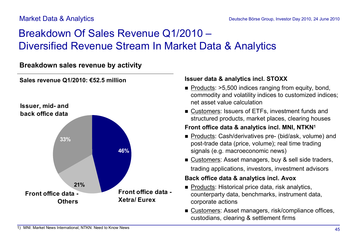### Market Data & Analytics

# Breakdown Of Sales Revenue Q1/2010 – Diversified Revenue Stream In Market Data & Analytics

### **Breakdown sales revenue by activity**



### **Sales revenue Q1/2010: €52.5 million**

### **Issuer data & analytics incl. STOXX**

- $\blacksquare$  Products: >5,500 indices ranging from equity, bond, commodity and volatility indices to customized indices; net asset value calculation
- Customers: Issuers of ETFs, investment funds and structured products, market places, clearing houses

### **Front office data & analytics incl. MNI, NTKN<sup>1</sup>**

- Products: Cash/derivatives pre- (bid/ask, volume) and post-trade data (price, volume); real time trading signals (e.g. macroeconomic news)
- Customers: Asset managers, buy & sell side traders, trading applications, investors, investment advisors

### **Back office data & analytics incl. Avox**

- Products: Historical price data, risk analytics, counterparty data, benchmarks, instrument data, corporate actions
- Customers: Asset managers, risk/compliance offices, custodians, clearing & settlement firms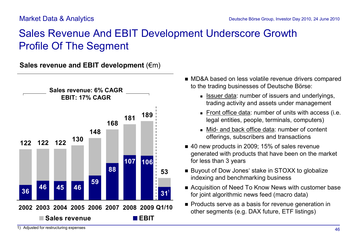# Sales Revenue And EBIT Development Underscore Growth Profile Of The Segment

**Sales revenue and EBIT development** (€m)



- MD&A based on less volatile revenue drivers compared to the trading businesses of Deutsche Börse:
	- **s** Issuer data: number of issuers and underlyings, trading activity and assets under management
	- Front office data: number of units with access (i.e. legal entities, people, terminals, computers)
	- Mid- and back office data: number of content offerings, subscribers and transactions
- 40 new products in 2009; 15% of sales revenue generated with products that have been on the market for less than 3 years
- Buyout of Dow Jones' stake in STOXX to globalize indexing and benchmarking business
- Acquisition of Need To Know News with customer base for joint algorithmic news feed (macro data)
- **Products serve as a basis for revenue generation in** other segments (e.g. DAX future, ETF listings)

<sup>1)</sup> Adjusted for restructuring expenses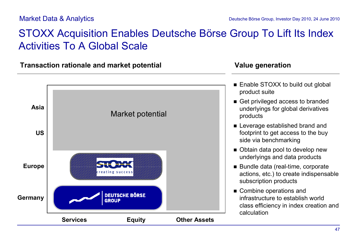## STOXX Acquisition Enables Deutsche Börse Group To Lift Its Index Activities To A Global Scale

**Transaction rationale and market potential Value generation**



- $\blacksquare$  Enable STOXX to build out global product suite
- Get privileged access to branded underlyings for global derivatives products
- **Exercise Established brand and** footprint to get access to the buy side via benchmarking
- Obtain data pool to develop new underlyings and data products
- Bundle data (real-time, corporate actions, etc.) to create indispensable subscription products
- $\blacksquare$  Combine operations and infrastructure to establish world class efficiency in index creation and calculation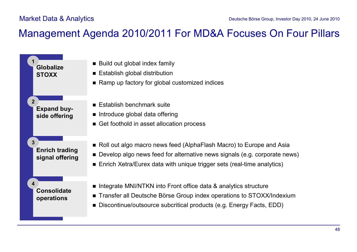## Management Agenda 2010/2011 For MD&A Focuses On Four Pillars

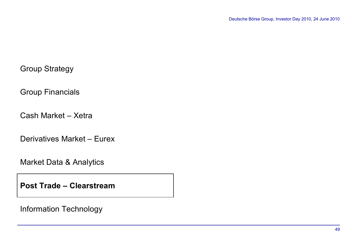### Group Strategy

Group Financials

Cash Market – Xetra

Derivatives Market – Eurex

Market Data & Analytics

**Post Trade – Clearstream**

Information Technology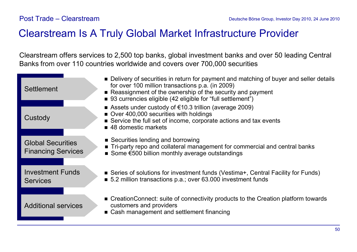## Clearstream Is A Truly Global Market Infrastructure Provider

Clearstream offers services to 2,500 top banks, global investment banks and over 50 leading Central Banks from over 110 countries worldwide and covers over 700,000 securities

| Settlement                                            | • Delivery of securities in return for payment and matching of buyer and seller details<br>for over 100 million transactions p.a. (in 2009)<br>Reassignment of the ownership of the security and payment<br>■ 93 currencies eligible (42 eligible for "full settlement") |
|-------------------------------------------------------|--------------------------------------------------------------------------------------------------------------------------------------------------------------------------------------------------------------------------------------------------------------------------|
| Custody                                               | Assets under custody of $\epsilon$ 10.3 trillion (average 2009)<br>Over 400,000 securities with holdings<br>Service the full set of income, corporate actions and tax events<br>■ 48 domestic markets                                                                    |
| <b>Global Securities</b><br><b>Financing Services</b> | ■ Securities lending and borrowing<br>• Tri-party repo and collateral management for commercial and central banks<br>Some $\epsilon$ 500 billion monthly average outstandings                                                                                            |
| <b>Investment Funds</b><br><b>Services</b>            | ■ Series of solutions for investment funds (Vestima+, Central Facility for Funds)<br>■ 5.2 million transactions p.a.; over 63.000 investment funds                                                                                                                       |
| <b>Additional services</b>                            | ■ CreationConnect: suite of connectivity products to the Creation platform towards<br>customers and providers<br>• Cash management and settlement financing                                                                                                              |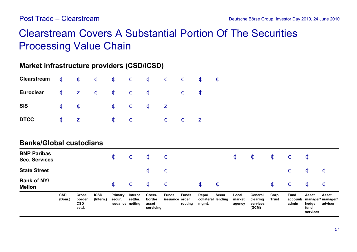## Clearstream Covers A Substantial Portion Of The Securities Processing Value Chain

### **Market infrastructure providers (CSD/ICSD)**

|                                            | <b>CSD</b><br>(Dom.)    | <b>Cross</b><br>border<br><b>CSD</b><br>settl. | <b>ICSD</b><br>(Intern.) | Primary<br>secur.<br>issuance netting | Internal<br>settim.     | Cross-<br>border<br>asset<br>servicing | <b>Funds</b><br>issuance order | <b>Funds</b><br>routing | Repo/<br>collateral lending<br>mgmt. | Secur.             | Local<br>market<br>agency | General<br>clearing<br>services<br>(GCM) | Corp.<br><b>Trust</b>   | <b>Fund</b><br>account/<br>admin | <b>Asset</b><br>hedge<br>fund<br>services | <b>Asset</b><br>manager/ manager/<br>advisor |
|--------------------------------------------|-------------------------|------------------------------------------------|--------------------------|---------------------------------------|-------------------------|----------------------------------------|--------------------------------|-------------------------|--------------------------------------|--------------------|---------------------------|------------------------------------------|-------------------------|----------------------------------|-------------------------------------------|----------------------------------------------|
| <b>Bank of NY/</b><br><b>Mellon</b>        |                         |                                                |                          | $\dot{\bm{c}}$                        | $\dot{\mathbf{c}}$      | $\dot{\mathbf{C}}$                     | $\dot{\bm{c}}$                 |                         | $\dot{\mathbf{c}}$                   | $\dot{\mathbf{c}}$ |                           |                                          | $\dot{\bm{c}}$          | $\dot{\mathbf{C}}$               | $\dot{\bm{\mathsf{c}}}$                   | $\dot{\mathbf{C}}$                           |
| <b>State Street</b>                        |                         |                                                |                          |                                       |                         | $\dot{\bm{\mathsf{c}}}$                | $\dot{\bm{\mathsf{c}}}$        |                         |                                      |                    |                           |                                          |                         | $\dot{\mathbf{C}}$               | $\dot{\bm{\mathsf{c}}}$                   | $\mathbf C$                                  |
| <b>BNP Paribas</b><br><b>Sec. Services</b> |                         |                                                |                          | $\dot{\bm{c}}$                        | $\dot{\bm{\mathsf{c}}}$ | $\dot{\bm{\mathsf{c}}}$                | $\dot{\bm{\mathsf{c}}}$        |                         |                                      |                    | $\dot{\mathbf{c}}$        | $\dot{\mathbf{c}}$                       | $\dot{\bm{\mathsf{c}}}$ | $\dot{\mathbf{C}}$               | ¢                                         |                                              |
| <b>Banks/Global custodians</b>             |                         |                                                |                          |                                       |                         |                                        |                                |                         |                                      |                    |                           |                                          |                         |                                  |                                           |                                              |
| <b>DTCC</b>                                | $\dot{\bm{\mathsf{c}}}$ | $\mathbf{Z}$                                   |                          | $\dot{\bm{\mathsf{c}}}$               | $\dot{\bm{\mathsf{c}}}$ |                                        | $\dot{\bm{\mathsf{c}}}$        | $\dot{\bm{\mathsf{c}}}$ | $\mathbf{Z}$                         |                    |                           |                                          |                         |                                  |                                           |                                              |
| <b>SIS</b>                                 | $\dot{\mathbf{c}}$      | $\dot{\bm{\mathsf{c}}}$                        |                          | $\dot{\mathbf{C}}$                    | $\dot{\bm{\mathsf{c}}}$ | $\dot{\bm{\mathsf{c}}}$                | $\mathbf{Z}$                   |                         |                                      |                    |                           |                                          |                         |                                  |                                           |                                              |
| <b>Euroclear</b>                           | $\dot{\bm{\mathsf{c}}}$ | $\mathbf{Z}$                                   | $\dot{\mathbf{c}}$       | $\dot{\bm{\mathsf{c}}}$               | $\dot{\bm{\mathsf{c}}}$ | $\dot{\bm{\mathsf{c}}}$                |                                | $\dot{\bm{\mathsf{c}}}$ | $\dot{\bm{\mathsf{c}}}$              |                    |                           |                                          |                         |                                  |                                           |                                              |
| <b>Clearstream</b>                         | $\dot{\mathbf{c}}$      | $\mathbf c$                                    | $\mathbf c$              | $\dot{\mathbf{C}}$                    | $\dot{\mathbf{c}}$      | $\dot{\mathbf{c}}$                     | $\dot{\mathbf{c}}$             | $\dot{\mathbf{c}}$      | $\mathbf c$                          | $\dot{\mathbf{c}}$ |                           |                                          |                         |                                  |                                           |                                              |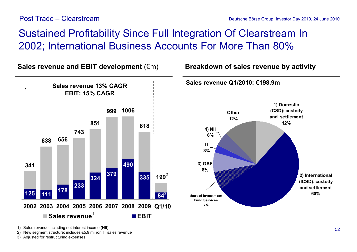# Sustained Profitability Since Full Integration Of Clearstream In 2002; International Business Accounts For More Than 80%

**Other 12% 1) Domestic (CSD): custody and settlement 12% 2) International (ICSD): custody and settlement 60% 3) GSF 8% thereof Investment Fund Services 7% 4) NII 6% IT 3% 341 638 656 743 851 999 1006 818 199** 2 **125 233 324 379 490 335 111 84 178 2002 2003 2004 2005 2006 2007 2008 2009 Q1/10 Sales revenue EBIT** 1 **Sales revenue Q1/2010: €198.9m Sales revenue and EBIT development** (€m) **Breakdown of sales revenue by activity Sales revenue 13% CAGR EBIT: 15% CAGR**  $84^{3}$ 

1) Sales revenue including net interest income (NII)

2) New segment structure; includes €5.9 million IT sales revenue

3) Adjusted for restructuring expenses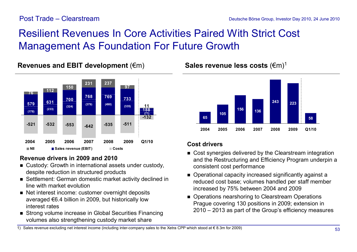# Resilient Revenues In Core Activities Paired With Strict Cost Management As Foundation For Future Growth



### **Revenues and EBIT development (€m) Sales revenue less costs (€m)<sup>1</sup>**

### **Revenue drivers in 2009 and 2010**

- Custody: Growth in international assets under custody, despite reduction in structured products
- Settlement: German domestic market activity declined in line with market evolution
- Net interest income: customer overnight deposits averaged €6.4 billion in 2009, but historically low interest rates
- Strong volume increase in Global Securities Financing volumes also strengthening custody market share



- Cost synergies delivered by the Clearstream integration and the Restructuring and Efficiency Program underpin a consistent cost performance
- n Operational capacity increased significantly against a reduced cost base; volumes handled per staff member increased by 75% between 2004 and 2009
- Operations nearshoring to Clearstream Operations Prague covering 130 positions in 2009; extension in 2010 – 2013 as part of the Group's efficiency measures

1) Sales revenue excluding net interest income (including inter-company sales to the Xetra CPP which stood at € 8.3m for 2009)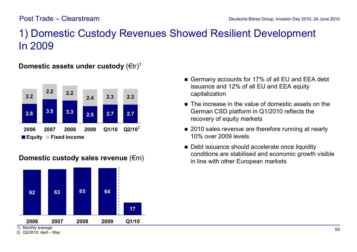## 1) Domestic Custody Revenues Showed Resilient Development In 2009

### **2.8 3.5 3.3 2.5 2.7 2.7 2.2 2.4 2.3 2.3 2.2 2.2 2006 2007 2008 2009 Q1/10 Q2/10**  $Q2/10^2$

**Domestic assets under custody (€tr)<sup>1</sup>** 

**Equity Fixed income**



### **Domestic custody sales revenue** (€m)

1) Monthly average

- Germany accounts for 17% of all EU and EEA debt issuance and 12% of all EU and EEA equity capitalization
- $\blacksquare$  The increase in the value of domestic assets on the German CSD platform in Q1/2010 reflects the recovery of equity markets
- 2010 sales revenue are therefore running at nearly 10% over 2009 levels
- Debt issuance should accelerate once liquidity conditions are stabilised and economic growth visible in line with other European markets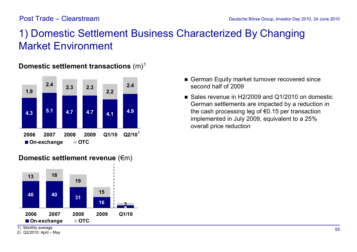# 1) Domestic Settlement Business Characterized By Changing Market Environment



### **Domestic settlement transactions**  $(m)^1$

- German Equity market turnover recovered since second half of 2009
- Sales revenue in H2/2009 and Q1/2010 on domestic German settlements are impacted by a reduction in the cash processing leg of €0.15 per transaction implemented in July 2009, equivalent to a 25% overall price reduction



**Domestic settlement revenue (€m)** 

1) Monthly average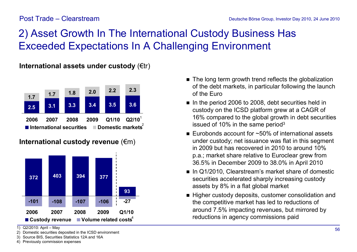# 2) Asset Growth In The International Custody Business Has Exceeded Expectations In A Challenging Environment

**International assets under custody** (€tr)



**International custody revenue** (€m)



<sup>1)</sup> Q2/2010: April – May

- 2) Domestic securities deposited in the ICSD environment
- 3) Source BIS, Securities Statistics 12A and 16A 4) Previously commission expenses
- $\blacksquare$  The long term growth trend reflects the globalization of the debt markets, in particular following the launch of the Euro
- n In the period 2006 to 2008, debt securities held in custody on the ICSD platform grew at a CAGR of 16% compared to the global growth in debt securities issued of 10% in the same period<sup>3</sup>
- Eurobonds account for  $\sim$ 50% of international assets under custody; net issuance was flat in this segment in 2009 but has recovered in 2010 to around 10% p.a.; market share relative to Euroclear grew from 36.5% in December 2009 to 38.0% in April 2010
- In Q1/2010, Clearstream's market share of domestic securities accelerated sharply increasing custody assets by 8% in a flat global market
- Higher custody deposits, customer consolidation and the competitive market has led to reductions of around 7.5% impacting revenues, but mirrored by reductions in agency commissions paid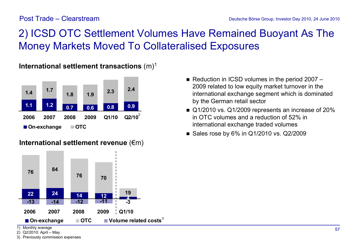# 2) ICSD OTC Settlement Volumes Have Remained Buoyant As The Money Markets Moved To Collateralised Exposures



**International settlement transactions** (m)<sup>1</sup>

### **International settlement revenue** (€m)



- Reduction in ICSD volumes in the period  $2007 -$ 2009 related to low equity market turnover in the international exchange segment which is dominated by the German retail sector
- Q1/2010 vs. Q1/2009 represents an increase of 20% in OTC volumes and a reduction of 52% in international exchange traded volumes
- Sales rose by  $6\%$  in Q1/2010 vs. Q2/2009

1) Monthly average

2) Q2/2010: April – May

3) Previously commission expenses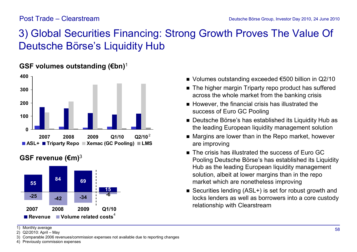# 3) Global Securities Financing: Strong Growth Proves The Value Of Deutsche Börse's Liquidity Hub



### **GSF volumes outstanding (€bn)**<sup>1</sup>

### **GSF revenue (€m)**<sup>3</sup>



■ Volumes outstanding exceeded  $€500$  billion in Q2/10

- $\blacksquare$  The higher margin Triparty repo product has suffered across the whole market from the banking crisis
- $\blacksquare$  However, the financial crisis has illustrated the success of Euro GC Pooling
- Deutsche Börse's has established its Liquidity Hub as the leading European liquidity management solution
- $\blacksquare$  Margins are lower than in the Repo market, however are improving
- $\blacksquare$  The crisis has illustrated the success of Furo GC Pooling Deutsche Börse's has established its Liquidity Hub as the leading European liquidity management solution, albeit at lower margins than in the repo market which are nonetheless improving
- Securities lending (ASL+) is set for robust growth and locks lenders as well as borrowers into a core custody relationship with Clearstream

1) Monthly average

2) Q2/2010: April – May

3) Comparable 2006 revenues/commission expenses not available due to reporting changes

4) Previously commission expenses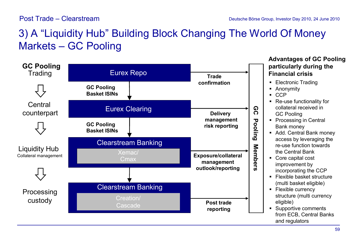# 3) A "Liquidity Hub" Building Block Changing The World Of Money Markets – GC Pooling



### **Advantages of GC Pooling particularly during the Financial crisis**

- **Electronic Trading**
- Anonymity
- ß CCP
- Re-use functionality for collateral received in GC Pooling
- Processing in Central Bank money
- Add. Central Bank money access by leveraging the re-use function towards the Central Bank
- Core capital cost improvement by incorporating the CCP
- **Flexible basket structure** (multi basket eligible)
- **Flexible currency** structure (multi currency eligible)
- ß Supportive comments from ECB, Central Banks and regulators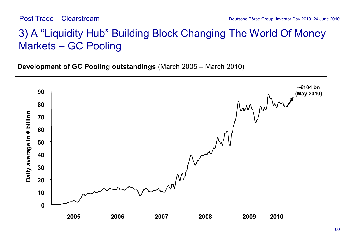## 3) A "Liquidity Hub" Building Block Changing The World Of Money Markets – GC Pooling

**Development of GC Pooling outstandings** (March 2005 – March 2010)

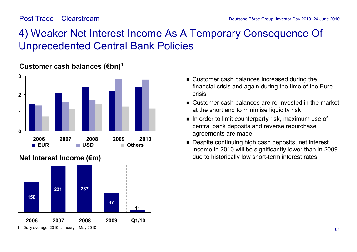# 4) Weaker Net Interest Income As A Temporary Consequence Of Unprecedented Central Bank Policies



### **Customer cash balances (€bn)<sup>1</sup>**

- Customer cash balances increased during the financial crisis and again during the time of the Euro crisis
- Customer cash balances are re-invested in the market at the short end to minimise liquidity risk
- $\blacksquare$  In order to limit counterparty risk, maximum use of central bank deposits and reverse repurchase agreements are made
- Despite continuing high cash deposits, net interest income in 2010 will be significantly lower than in 2009 due to historically low short-term interest rates



### **Net Interest Income (€m)**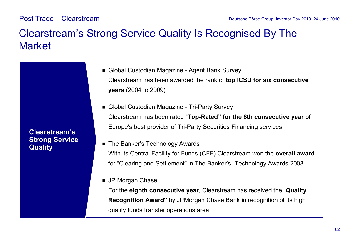## Clearstream's Strong Service Quality Is Recognised By The **Market**

■ Global Custodian Magazine - Agent Bank Survey Clearstream has been awarded the rank of **top ICSD for six consecutive years** (2004 to 2009)

■ Global Custodian Magazine - Tri-Party Survey Clearstream has been rated "**Top-Rated" for the 8th consecutive year** of Europe's best provider of Tri-Party Securities Financing services

- The Banker's Technology Awards With its Central Facility for Funds (CFF) Clearstream won the **overall award** for "Clearing and Settlement" in The Banker's "Technology Awards 2008"
- **n** JP Morgan Chase

For the **eighth consecutive year**, Clearstream has received the "**Quality Recognition Award"** by JPMorgan Chase Bank in recognition of its high quality funds transfer operations area

**Clearstream's Strong Service Quality**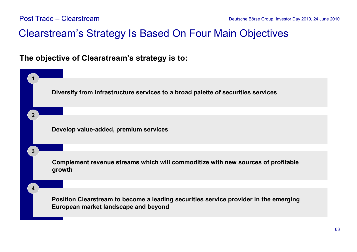## Clearstream's Strategy Is Based On Four Main Objectives

### **The objective of Clearstream's strategy is to:**

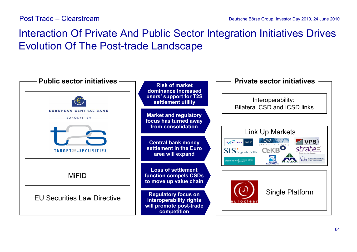## Interaction Of Private And Public Sector Integration Initiatives Drives Evolution Of The Post-trade Landscape

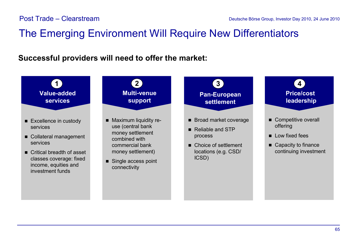## The Emerging Environment Will Require New Differentiators

**Successful providers will need to offer the market:**

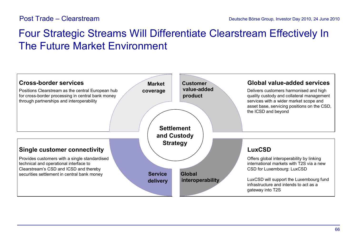## Four Strategic Streams Will Differentiate Clearstream Effectively In The Future Market Environment

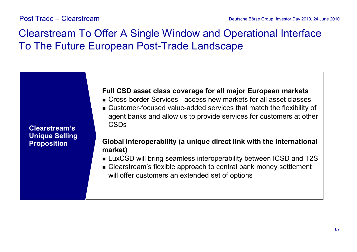## Clearstream To Offer A Single Window and Operational Interface To The Future European Post-Trade Landscape

**Clearstream's Unique Selling Proposition**

### **Full CSD asset class coverage for all major European markets**

- <sup>n</sup> Cross-border Services access new markets for all asset classes
- <sup>n</sup> Customer-focused value-added services that match the flexibility of agent banks and allow us to provide services for customers at other CSDs

### **Global interoperability (a unique direct link with the international market)**

- LuxCSD will bring seamless interoperability between ICSD and T2S
- <sup>n</sup> Clearstream's flexible approach to central bank money settlement will offer customers an extended set of options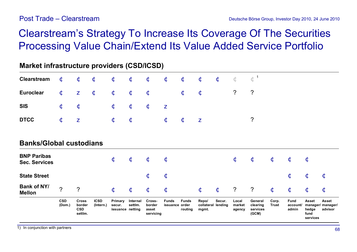# Clearstream's Strategy To Increase Its Coverage Of The Securities Processing Value Chain/Extend Its Value Added Service Portfolio

| Market infrastructure providers (CSD/ICSD) |                         |                                                 |                          |                                       |                         |                                        |                                |                         |                                      |                    |                           |                                          |                       |                                  |                                           |                                              |
|--------------------------------------------|-------------------------|-------------------------------------------------|--------------------------|---------------------------------------|-------------------------|----------------------------------------|--------------------------------|-------------------------|--------------------------------------|--------------------|---------------------------|------------------------------------------|-----------------------|----------------------------------|-------------------------------------------|----------------------------------------------|
| <b>Clearstream</b>                         | $\dot{\mathbf{c}}$      | $\dot{\bm{\mathsf{c}}}$                         | $\dot{\mathbf{c}}$       | ¢                                     | $\dot{\bm{\mathsf{c}}}$ | $\dot{\bm{c}}$                         | $\dot{\bm{\mathsf{c}}}$        | $\dot{\bm{c}}$          | $\dot{\bm{\mathsf{c}}}$              | $\dot{\mathbf{c}}$ | Ċ                         | $\mathbf{c}^{\,1}$                       |                       |                                  |                                           |                                              |
| <b>Euroclear</b>                           | $\dot{\bm{\mathsf{c}}}$ | $\mathbf{Z}$                                    | $\dot{\bm{c}}$           | $\dot{\bm{\mathsf{c}}}$               | $\dot{\bm{c}}$          | $\dot{\mathbf{c}}$                     |                                | $\dot{\bm{c}}$          | $\dot{\bm{\mathsf{c}}}$              |                    | $\ddot{?}$                | ?                                        |                       |                                  |                                           |                                              |
| <b>SIS</b>                                 | $\dot{\bm{\mathsf{c}}}$ | $\dot{\bm{\mathsf{C}}}$                         |                          | $\dot{\bm{c}}$                        | $\dot{\bm{c}}$          | $\dot{\bm{c}}$                         | $\mathbf{Z}$                   |                         |                                      |                    |                           |                                          |                       |                                  |                                           |                                              |
| <b>DTCC</b>                                | $\dot{\bm{\mathsf{c}}}$ | $\mathbf{Z}$                                    |                          | $\dot{\bm{c}}$                        | $\dot{\bm{c}}$          |                                        | $\dot{\bm{c}}$                 | $\dot{\bm{c}}$          | $\mathbf{Z}$                         |                    |                           | $\ddot{?}$                               |                       |                                  |                                           |                                              |
| <b>Banks/Global custodians</b>             |                         |                                                 |                          |                                       |                         |                                        |                                |                         |                                      |                    |                           |                                          |                       |                                  |                                           |                                              |
| <b>BNP Paribas</b><br><b>Sec. Services</b> |                         |                                                 |                          | $\dot{\mathbf{C}}$                    | $\dot{\bm{c}}$          | $\dot{\bm{c}}$                         | $\dot{\mathbf{C}}$             |                         |                                      |                    | $\dot{\mathbf{C}}$        | $\dot{\mathbf{C}}$                       | $\dot{\mathbf{C}}$    | $\dot{\mathbf{C}}$               | $\dot{\mathbf{C}}$                        |                                              |
| <b>State Street</b>                        |                         |                                                 |                          |                                       |                         | $\dot{\bm{c}}$                         | $\dot{\bm{\mathsf{c}}}$        |                         |                                      |                    |                           |                                          |                       | $\dot{\mathbf{C}}$               | $\dot{\bm{\mathsf{c}}}$                   | Ċ                                            |
| <b>Bank of NY/</b><br><b>Mellon</b>        | $\gamma$                | $\overline{?}$                                  |                          | $\dot{\mathbf{C}}$                    | $\dot{\mathbf{c}}$      | $\dot{\mathbf{C}}$                     | $\dot{\bm{c}}$                 |                         | $\dot{\bm{c}}$                       | $\dot{\mathbf{C}}$ | $\tilde{?}$               | $\ddot{?}$                               | $\dot{\mathbf{C}}$    | $\dot{\mathbf{C}}$               | $\dot{\mathbf{C}}$                        | $\dot{\mathbf{C}}$                           |
|                                            | <b>CSD</b><br>(Dom.)    | <b>Cross</b><br>border<br><b>CSD</b><br>settim. | <b>ICSD</b><br>(Intern.) | Primary<br>secur.<br>issuance netting | Internal<br>settim.     | Cross-<br>border<br>asset<br>servicing | <b>Funds</b><br>issuance order | <b>Funds</b><br>routing | Repo/<br>collateral lending<br>mgmt. | Secur.             | Local<br>market<br>agency | General<br>clearing<br>services<br>(GCM) | Corp.<br><b>Trust</b> | <b>Fund</b><br>account/<br>admin | <b>Asset</b><br>hedge<br>fund<br>services | <b>Asset</b><br>manager/ manager/<br>advisor |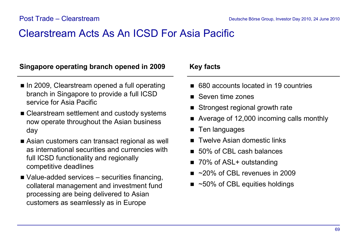## Clearstream Acts As An ICSD For Asia Pacific

### **Singapore operating branch opened in 2009 Key facts**

- In 2009, Clearstream opened a full operating branch in Singapore to provide a full ICSD service for Asia Pacific
- Clearstream settlement and custody systems now operate throughout the Asian business day
- Asian customers can transact regional as well as international securities and currencies with full ICSD functionality and regionally competitive deadlines
- $\blacksquare$  Value-added services securities financing, collateral management and investment fund processing are being delivered to Asian customers as seamlessly as in Europe

- 680 accounts located in 19 countries
- Seven time zones
- Strongest regional growth rate
- $\blacksquare$  Average of 12,000 incoming calls monthly
- $\blacksquare$  Ten languages
- $\blacksquare$  Twelve Asian domestic links
- 50% of CBL cash balances
- 70% of ASL+ outstanding
- $\sim$  20% of CBL revenues in 2009
- $\blacksquare$  ~50% of CBL equities holdings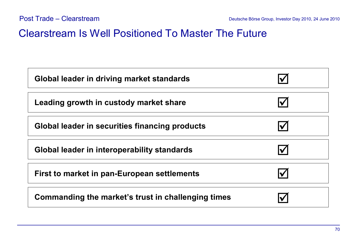## Clearstream Is Well Positioned To Master The Future

| Global leader in driving market standards          |  |
|----------------------------------------------------|--|
| Leading growth in custody market share             |  |
| Global leader in securities financing products     |  |
| Global leader in interoperability standards        |  |
| First to market in pan-European settlements        |  |
| Commanding the market's trust in challenging times |  |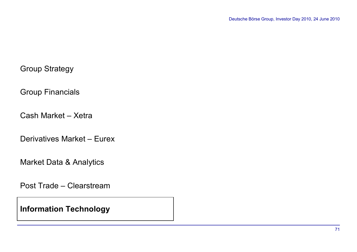### Group Strategy

Group Financials

Cash Market – Xetra

Derivatives Market – Eurex

Market Data & Analytics

Post Trade – Clearstream

**Information Technology**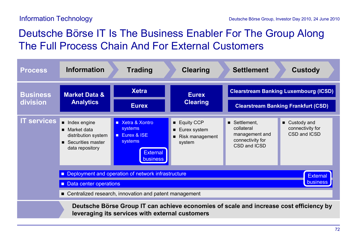## Deutsche Börse IT Is The Business Enabler For The Group Along The Full Process Chain And For External Customers

| <b>Process</b>              | <b>Information</b>                                                                                                                                                             | <b>Trading</b>                                                                                         | <b>Clearing</b>                                             | <b>Settlement</b>                                                               | <b>Custody</b>                                    |  |
|-----------------------------|--------------------------------------------------------------------------------------------------------------------------------------------------------------------------------|--------------------------------------------------------------------------------------------------------|-------------------------------------------------------------|---------------------------------------------------------------------------------|---------------------------------------------------|--|
| <b>Business</b><br>division | <b>Market Data &amp;</b><br><b>Analytics</b>                                                                                                                                   | <b>Xetra</b>                                                                                           | <b>Eurex</b><br><b>Clearing</b>                             |                                                                                 | <b>Clearstream Banking Luxembourg (ICSD)</b>      |  |
|                             |                                                                                                                                                                                | <b>Eurex</b>                                                                                           |                                                             |                                                                                 | <b>Clearstream Banking Frankfurt (CSD)</b>        |  |
| <b>IT services</b>          | Index engine<br>■ Market data<br>distribution system<br>■ Securities master<br>data repository                                                                                 | ■ Xetra & Xontro<br>systems<br><b>Eurex &amp; ISE</b><br>systems<br><b>External</b><br><b>business</b> | ■ Equity CCP<br>■ Eurex system<br>Risk management<br>system | Settlement,<br>collateral<br>management and<br>connectivity for<br>CSD and ICSD | ■ Custody and<br>connectivity for<br>CSD and ICSD |  |
|                             | Deployment and operation of network infrastructure<br><b>External</b><br><b>business</b><br>Data center operations<br>■ Centralized research, innovation and patent management |                                                                                                        |                                                             |                                                                                 |                                                   |  |
|                             |                                                                                                                                                                                |                                                                                                        |                                                             |                                                                                 |                                                   |  |
|                             | Deutsche Börse Group IT can achieve economies of scale and increase cost efficiency by<br>leveraging its services with external customers                                      |                                                                                                        |                                                             |                                                                                 |                                                   |  |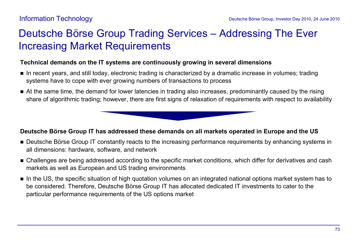### Deutsche Börse Group Trading Services – Addressing The Ever Increasing Market Requirements

#### **Technical demands on the IT systems are continuously growing in several dimensions**

- n In recent years, and still today, electronic trading is characterized by a dramatic increase in volumes; trading systems have to cope with ever growing numbers of transactions to process
- n At the same time, the demand for lower latencies in trading also increases, predominantly caused by the rising share of algorithmic trading; however, there are first signs of relaxation of requirements with respect to availability

#### **Deutsche Börse Group IT has addressed these demands on all markets operated in Europe and the US**

- n Deutsche Börse Group IT constantly reacts to the increasing performance requirements by enhancing systems in all dimensions: hardware, software, and network
- n Challenges are being addressed according to the specific market conditions, which differ for derivatives and cash markets as well as European and US trading environments
- n In the US, the specific situation of high quotation volumes on an integrated national options market system has to be considered. Therefore, Deutsche Börse Group IT has allocated dedicated IT investments to cater to the particular performance requirements of the US options market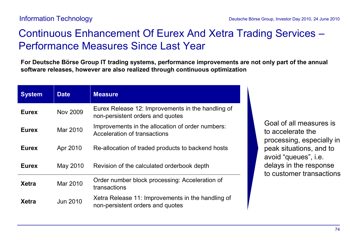# Continuous Enhancement Of Eurex And Xetra Trading Services – Performance Measures Since Last Year

**For Deutsche Börse Group IT trading systems, performance improvements are not only part of the annual software releases, however are also realized through continuous optimization**

| <b>System</b> | <b>Date</b>     | <b>Measure</b>                                                                        |
|---------------|-----------------|---------------------------------------------------------------------------------------|
| <b>Eurex</b>  | <b>Nov 2009</b> | Eurex Release 12: Improvements in the handling of<br>non-persistent orders and quotes |
| <b>Eurex</b>  | Mar 2010        | Improvements in the allocation of order numbers:<br>Acceleration of transactions      |
| <b>Eurex</b>  | Apr 2010        | Re-allocation of traded products to backend hosts                                     |
| <b>Eurex</b>  | May 2010        | Revision of the calculated orderbook depth                                            |
| <b>Xetra</b>  | Mar 2010        | Order number block processing: Acceleration of<br>transactions                        |
| Xetra         | <b>Jun 2010</b> | Xetra Release 11: Improvements in the handling of<br>non-persistent orders and quotes |

Goal of all measures is to accelerate the processing, especially in peak situations, and to avoid "queues", i.e. delays in the response to customer transactions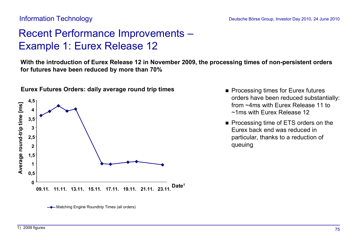## Recent Performance Improvements – Example 1: Eurex Release 12

**With the introduction of Eurex Release 12 in November 2009, the processing times of non-persistent orders for futures have been reduced by more than 70%**



**Eurex Futures Orders: daily average round trip times**

- Processing times for Eurex futures orders have been reduced substantially: from ~4ms with Eurex Release 11 to ~1ms with Eurex Release 12
- Processing time of ETS orders on the Eurex back end was reduced in particular, thanks to a reduction of queuing

**<sup>-</sup>** Matching Engine Roundtrip Times (all orders)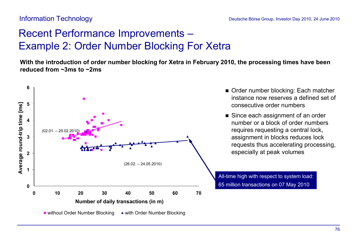# Recent Performance Improvements – Example 2: Order Number Blocking For Xetra

**With the introduction of order number blocking for Xetra in February 2010, the processing times have been reduced from ~3ms to ~2ms**



- Order number blocking: Each matcher instance now reserves a defined set of consecutive order numbers
- $\blacksquare$  Since each assignment of an order number or a block of order numbers requires requesting a central lock, assignment in blocks reduces lock requests thus accelerating processing, especially at peak volumes

All-time high with respect to system load: 65 million transactions on 07 May 2010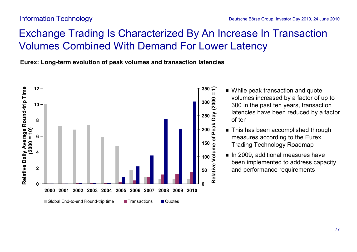## Exchange Trading Is Characterized By An Increase In Transaction Volumes Combined With Demand For Lower Latency

**Eurex: Long-term evolution of peak volumes and transaction latencies**



- While peak transaction and quote volumes increased by a factor of up to 300 in the past ten years, transaction latencies have been reduced by a factor of ten
- This has been accomplished through measures according to the Eurex Trading Technology Roadmap
- n In 2009, additional measures have been implemented to address capacity and performance requirements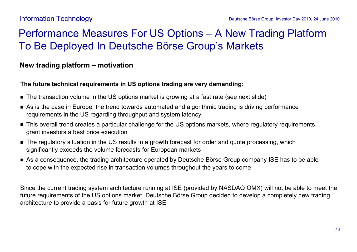### Performance Measures For US Options – A New Trading Platform To Be Deployed In Deutsche Börse Group's Markets

#### **New trading platform – motivation**

#### **The future technical requirements in US options trading are very demanding:**

- The transaction volume in the US options market is growing at a fast rate (see next slide)
- n As is the case in Europe, the trend towards automated and algorithmic trading is driving performance requirements in the US regarding throughput and system latency
- n This overall trend creates a particular challenge for the US options markets, where regulatory requirements grant investors a best price execution
- The regulatory situation in the US results in a growth forecast for order and quote processing, which significantly exceeds the volume forecasts for European markets
- n As a consequence, the trading architecture operated by Deutsche Börse Group company ISE has to be able to cope with the expected rise in transaction volumes throughout the years to come

Since the current trading system architecture running at ISE (provided by NASDAQ OMX) will not be able to meet the future requirements of the US options market, Deutsche Börse Group decided to develop a completely new trading architecture to provide a basis for future growth at ISE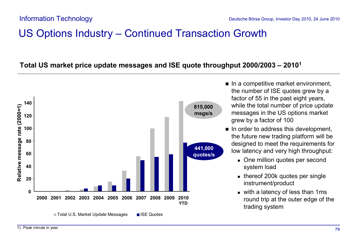### US Options Industry – Continued Transaction Growth

### **Total US market price update messages and ISE quote throughput 2000/2003 – 2010<sup>1</sup>**



- $\blacksquare$  In a competitive market environment, the number of ISE quotes grew by a factor of 55 in the past eight years, while the total number of price update messages in the US options market grew by a factor of 100
- $\blacksquare$  In order to address this development, the future new trading platform will be designed to meet the requirements for low latency and very high throughput:
	- One million quotes per second system load
	- $\blacksquare$  thereof 200k quotes per single instrument/product
	- $\blacksquare$  with a latency of less than 1ms round trip at the outer edge of the trading system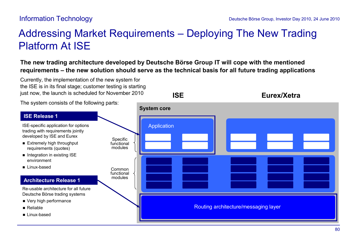**ISE Eurex/Xetra**

### Addressing Market Requirements – Deploying The New Trading Platform At ISE

**The new trading architecture developed by Deutsche Börse Group IT will cope with the mentioned requirements – the new solution should serve as the technical basis for all future trading applications**

Currently, the implementation of the new system for the ISE is in its final stage; customer testing is starting just now, the launch is scheduled for November 2010

The system consists of the following parts:

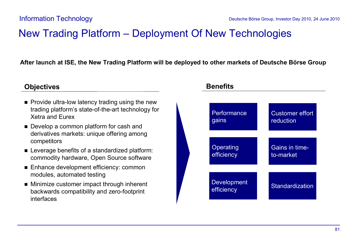### New Trading Platform – Deployment Of New Technologies

**After launch at ISE, the New Trading Platform will be deployed to other markets of Deutsche Börse Group**

#### **Objectives**

- $\blacksquare$  Provide ultra-low latency trading using the new trading platform's state-of-the-art technology for Xetra and Eurex
- **n** Develop a common platform for cash and derivatives markets: unique offering among competitors
- Leverage benefits of a standardized platform: commodity hardware, Open Source software
- Enhance development efficiency: common modules, automated testing
- Minimize customer impact through inherent backwards compatibility and zero-footprint interfaces

### **Operating** efficiency Development efficiency Customer effort reduction Gains in timeto-market **Standardization Performance** gains

### **Benefits**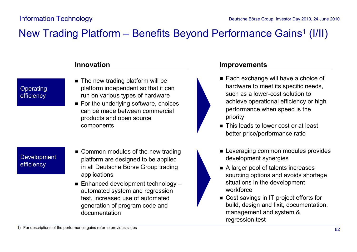### New Trading Platform - Benefits Beyond Performance Gains<sup>1</sup> (I/II)

**Operating** efficiency

- $\blacksquare$  The new trading platform will be platform independent so that it can run on various types of hardware
- $\blacksquare$  For the underlying software, choices can be made between commercial products and open source components **n This leads to lower cost or at least**

**Development** efficiency

- $\blacksquare$  Common modules of the new trading platform are designed to be applied in all Deutsche Börse Group trading applications
- $\blacksquare$  Enhanced development technology automated system and regression test, increased use of automated generation of program code and documentation

#### **Innovation Improvements**

- Each exchange will have a choice of hardware to meet its specific needs, such as a lower-cost solution to achieve operational efficiency or high performance when speed is the priority
- better price/performance ratio
- **Exercise Leveraging common modules provides** development synergies
- $\blacksquare$  A larger pool of talents increases sourcing options and avoids shortage situations in the development workforce
- Cost savings in IT project efforts for build, design and fixit, documentation, management and system & regression test

1) For descriptions of the performance gains refer to previous slides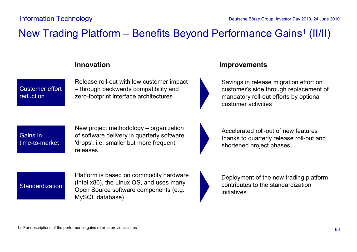### New Trading Platform - Benefits Beyond Performance Gains<sup>1</sup> (II/II)

Customer effort reduction

Release roll-out with low customer impact – through backwards compatibility and zero-footprint interface architectures

#### **Innovation Improvements**



Savings in release migration effort on customer's side through replacement of mandatory roll-out efforts by optional customer activities



New project methodology – organization of software delivery in quarterly software 'drops', i.e. smaller but more frequent releases

Accelerated roll-out of new features thanks to quarterly release roll-out and shortened project phases

**Standardization** 

Platform is based on commodity hardware (Intel x86), the Linux OS, and uses many Open Source software components (e.g. MySQL database)

Deployment of the new trading platform contributes to the standardization initiatives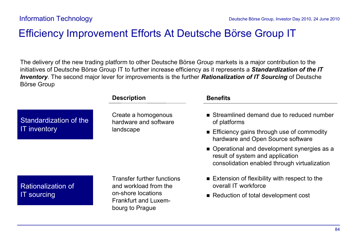### Efficiency Improvement Efforts At Deutsche Börse Group IT

The delivery of the new trading platform to other Deutsche Börse Group markets is a major contribution to the initiatives of Deutsche Börse Group IT to further increase efficiency as it represents a *Standardization of the IT Inventory*. The second major lever for improvements is the further *Rationalization of IT Sourcing* of Deutsche Börse Group

|                           | <b>Description</b>                                                                                                                 | <b>Benefits</b>                                                                                                                  |
|---------------------------|------------------------------------------------------------------------------------------------------------------------------------|----------------------------------------------------------------------------------------------------------------------------------|
| Standardization of the    | Create a homogenous<br>hardware and software                                                                                       | Streamlined demand due to reduced number<br>of platforms                                                                         |
| <b>IT inventory</b>       | landscape                                                                                                                          | Efficiency gains through use of commodity<br>hardware and Open Source software                                                   |
|                           |                                                                                                                                    | • Operational and development synergies as a<br>result of system and application<br>consolidation enabled through virtualization |
| <b>Rationalization of</b> | <b>Transfer further functions</b><br>and workload from the<br>on-shore locations<br><b>Frankfurt and Luxem-</b><br>bourg to Prague | $\blacksquare$ Extension of flexibility with respect to the<br>overall IT workforce                                              |
| <b>IT</b> sourcing        |                                                                                                                                    | Reduction of total development cost                                                                                              |
|                           |                                                                                                                                    |                                                                                                                                  |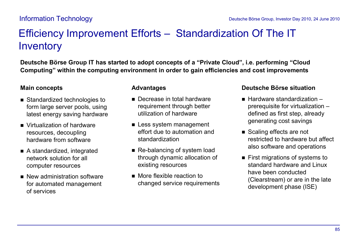# Efficiency Improvement Efforts – Standardization Of The IT **Inventory**

**Deutsche Börse Group IT has started to adopt concepts of a "Private Cloud", i.e. performing "Cloud Computing" within the computing environment in order to gain efficiencies and cost improvements** 

#### **Main concepts**

- Standardized technologies to form large server pools, using latest energy saving hardware
- Virtualization of hardware resources, decoupling hardware from software
- A standardized, integrated network solution for all computer resources
- $\blacksquare$  New administration software for automated management of services

#### **Advantages**

- Decrease in total hardware requirement through better utilization of hardware
- **Example 1 Less system management** effort due to automation and standardization
- Re-balancing of system load through dynamic allocation of existing resources
- $\blacksquare$  More flexible reaction to changed service requirements

#### **Deutsche Börse situation**

- $\blacksquare$  Hardware standardization  $\blacksquare$ prerequisite for virtualization – defined as first step, already generating cost savings
- Scaling effects are not restricted to hardware but affect also software and operations
- $\blacksquare$  First migrations of systems to standard hardware and Linux have been conducted (Clearstream) or are in the late development phase (ISE)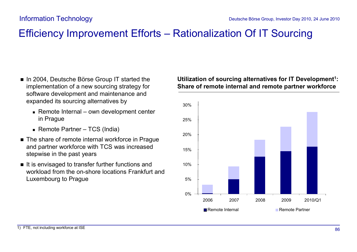### Efficiency Improvement Efforts – Rationalization Of IT Sourcing

- In 2004, Deutsche Börse Group IT started the implementation of a new sourcing strategy for software development and maintenance and expanded its sourcing alternatives by
	- $\blacksquare$  Remote Internal own development center in Prague
	- $\blacksquare$  Remote Partner TCS (India)
- The share of remote internal workforce in Prague and partner workforce with TCS was increased stepwise in the past years
- $\blacksquare$  It is envisaged to transfer further functions and workload from the on-shore locations Frankfurt and Luxembourg to Prague

#### **Utilization of sourcing alternatives for IT Development<sup>1</sup> : Share of remote internal and remote partner workforce**

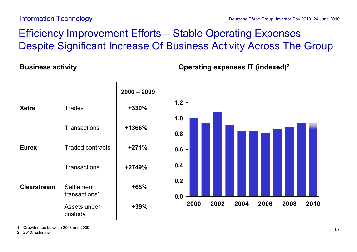# Efficiency Improvement Efforts – Stable Operating Expenses Despite Significant Increase Of Business Activity Across The Group

### **Operating expenses IT (indexed) B <sup>2</sup> usiness activity**

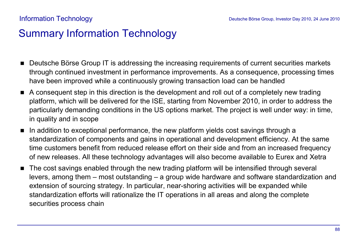### Summary Information Technology

- Deutsche Börse Group IT is addressing the increasing requirements of current securities markets through continued investment in performance improvements. As a consequence, processing times have been improved while a continuously growing transaction load can be handled
- n A consequent step in this direction is the development and roll out of a completely new trading platform, which will be delivered for the ISE, starting from November 2010, in order to address the particularly demanding conditions in the US options market. The project is well under way: in time, in quality and in scope
- $\blacksquare$  In addition to exceptional performance, the new platform yields cost savings through a standardization of components and gains in operational and development efficiency. At the same time customers benefit from reduced release effort on their side and from an increased frequency of new releases. All these technology advantages will also become available to Eurex and Xetra
- The cost savings enabled through the new trading platform will be intensified through several levers, among them – most outstanding – a group wide hardware and software standardization and extension of sourcing strategy. In particular, near-shoring activities will be expanded while standardization efforts will rationalize the IT operations in all areas and along the complete securities process chain